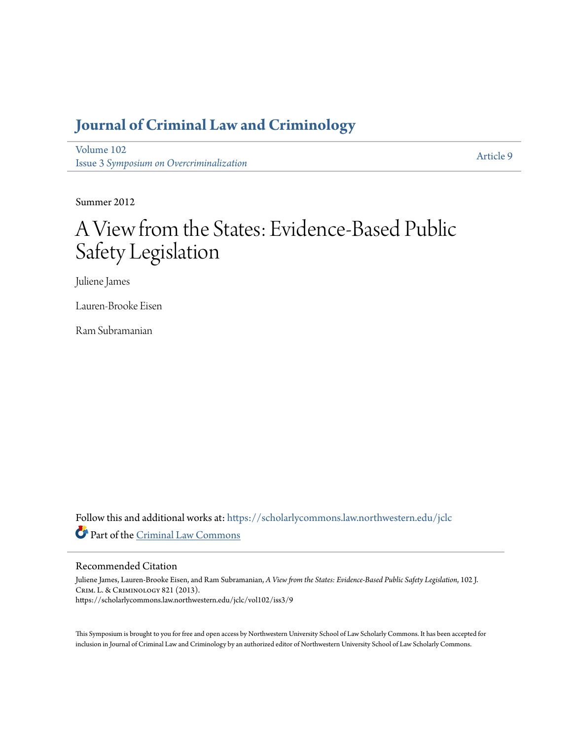# **[Journal of Criminal Law and Criminology](https://scholarlycommons.law.northwestern.edu/jclc?utm_source=scholarlycommons.law.northwestern.edu%2Fjclc%2Fvol102%2Fiss3%2F9&utm_medium=PDF&utm_campaign=PDFCoverPages)**

[Volume 102](https://scholarlycommons.law.northwestern.edu/jclc/vol102?utm_source=scholarlycommons.law.northwestern.edu%2Fjclc%2Fvol102%2Fiss3%2F9&utm_medium=PDF&utm_campaign=PDFCoverPages) Issue 3 *[Symposium on Overcriminalization](https://scholarlycommons.law.northwestern.edu/jclc/vol102/iss3?utm_source=scholarlycommons.law.northwestern.edu%2Fjclc%2Fvol102%2Fiss3%2F9&utm_medium=PDF&utm_campaign=PDFCoverPages)*

[Article 9](https://scholarlycommons.law.northwestern.edu/jclc/vol102/iss3/9?utm_source=scholarlycommons.law.northwestern.edu%2Fjclc%2Fvol102%2Fiss3%2F9&utm_medium=PDF&utm_campaign=PDFCoverPages)

Summer 2012

# A View from the States: Evidence-Based Public Safety Legislation

Juliene James

Lauren-Brooke Eisen

Ram Subramanian

Follow this and additional works at: [https://scholarlycommons.law.northwestern.edu/jclc](https://scholarlycommons.law.northwestern.edu/jclc?utm_source=scholarlycommons.law.northwestern.edu%2Fjclc%2Fvol102%2Fiss3%2F9&utm_medium=PDF&utm_campaign=PDFCoverPages) Part of the [Criminal Law Commons](http://network.bepress.com/hgg/discipline/912?utm_source=scholarlycommons.law.northwestern.edu%2Fjclc%2Fvol102%2Fiss3%2F9&utm_medium=PDF&utm_campaign=PDFCoverPages)

# Recommended Citation

Juliene James, Lauren-Brooke Eisen, and Ram Subramanian, *A View from the States: Evidence-Based Public Safety Legislation*, 102 J. Crim. L. & Criminology 821 (2013). https://scholarlycommons.law.northwestern.edu/jclc/vol102/iss3/9

This Symposium is brought to you for free and open access by Northwestern University School of Law Scholarly Commons. It has been accepted for inclusion in Journal of Criminal Law and Criminology by an authorized editor of Northwestern University School of Law Scholarly Commons.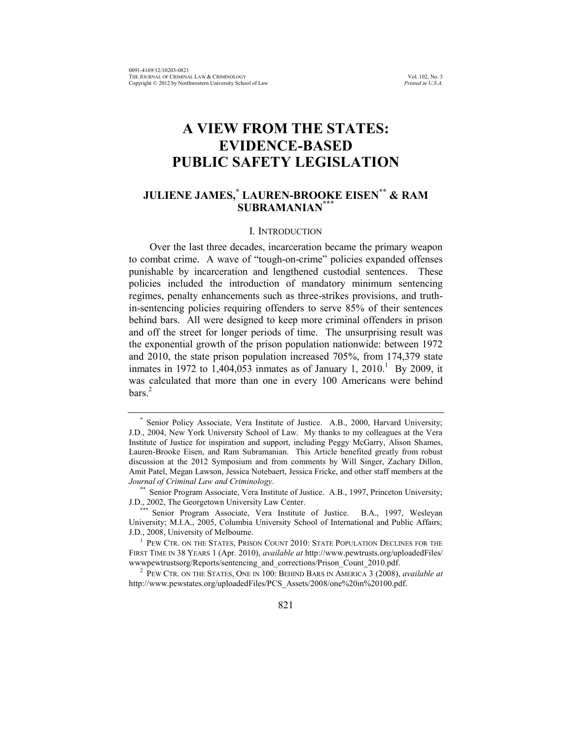# **A VIEW FROM THE STATES: EVIDENCE-BASED PUBLIC SAFETY LEGISLATION**

# **JULIENE JAMES,\* LAUREN-BROOKE EISEN\*\* & RAM SUBRAMANIAN\*\*\***

#### I. INTRODUCTION

Over the last three decades, incarceration became the primary weapon to combat crime. A wave of "tough-on-crime" policies expanded offenses punishable by incarceration and lengthened custodial sentences. These policies included the introduction of mandatory minimum sentencing regimes, penalty enhancements such as three-strikes provisions, and truthin-sentencing policies requiring offenders to serve 85% of their sentences behind bars. All were designed to keep more criminal offenders in prison and off the street for longer periods of time. The unsurprising result was the exponential growth of the prison population nationwide: between 1972 and 2010, the state prison population increased 705%, from 174,379 state inmates in 1972 to 1,404,053 inmates as of January 1,  $2010<sup>1</sup>$  By 2009, it was calculated that more than one in every 100 Americans were behind bars.<sup>2</sup>

<sup>\*</sup> Senior Policy Associate, Vera Institute of Justice. A.B., 2000, Harvard University; J.D., 2004, New York University School of Law. My thanks to my colleagues at the Vera Institute of Justice for inspiration and support, including Peggy McGarry, Alison Shames, Lauren-Brooke Eisen, and Ram Subramanian. This Article benefited greatly from robust discussion at the 2012 Symposium and from comments by Will Singer, Zachary Dillon, Amit Patel, Megan Lawson, Jessica Notebaert, Jessica Fricke, and other staff members at the *Journal of Criminal Law and Criminology*.

<sup>\*\*</sup> Senior Program Associate, Vera Institute of Justice. A.B., 1997, Princeton University; J.D., 2002, The Georgetown University Law Center.

<sup>\*\*\*</sup> Senior Program Associate, Vera Institute of Justice. B.A., 1997, Wesleyan University; M.I.A., 2005, Columbia University School of International and Public Affairs; J.D., 2008, University of Melbourne.

<sup>&</sup>lt;sup>1</sup> PEW CTR. ON THE STATES, PRISON COUNT 2010: STATE POPULATION DECLINES FOR THE FIRST TIME IN 38 YEARS 1 (Apr. 2010), *available at* http://www.pewtrusts.org/uploadedFiles/ wwwpewtrustsorg/Reports/sentencing\_and\_corrections/Prison\_Count\_2010.pdf.

<sup>2</sup> PEW CTR. ON THE STATES, ONE IN 100: BEHIND BARS IN AMERICA 3 (2008), *available at* http://www.pewstates.org/uploadedFiles/PCS\_Assets/2008/one%20in%20100.pdf.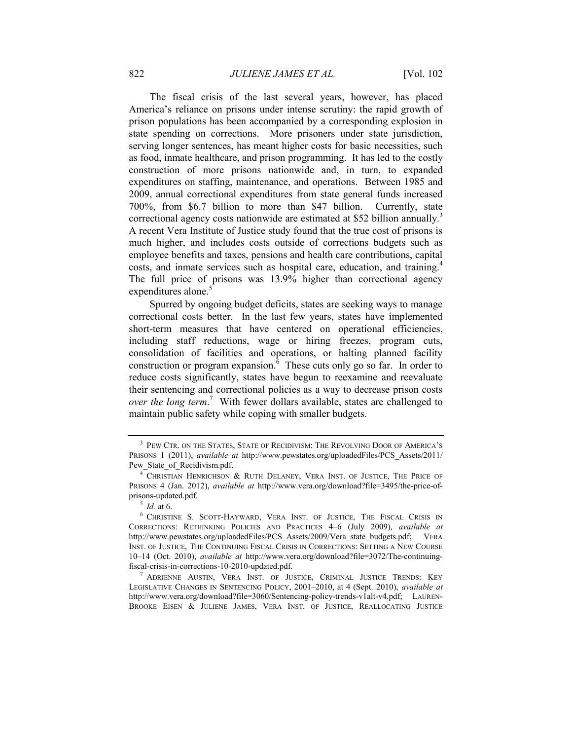The fiscal crisis of the last several years, however, has placed America's reliance on prisons under intense scrutiny: the rapid growth of prison populations has been accompanied by a corresponding explosion in state spending on corrections. More prisoners under state jurisdiction, serving longer sentences, has meant higher costs for basic necessities, such as food, inmate healthcare, and prison programming. It has led to the costly construction of more prisons nationwide and, in turn, to expanded expenditures on staffing, maintenance, and operations. Between 1985 and 2009, annual correctional expenditures from state general funds increased 700%, from \$6.7 billion to more than \$47 billion. Currently, state correctional agency costs nationwide are estimated at \$52 billion annually.<sup>3</sup> A recent Vera Institute of Justice study found that the true cost of prisons is much higher, and includes costs outside of corrections budgets such as employee benefits and taxes, pensions and health care contributions, capital costs, and inmate services such as hospital care, education, and training.<sup>4</sup> The full price of prisons was 13.9% higher than correctional agency expenditures alone.<sup>5</sup>

Spurred by ongoing budget deficits, states are seeking ways to manage correctional costs better. In the last few years, states have implemented short-term measures that have centered on operational efficiencies, including staff reductions, wage or hiring freezes, program cuts, consolidation of facilities and operations, or halting planned facility construction or program expansion. $6$  These cuts only go so far. In order to reduce costs significantly, states have begun to reexamine and reevaluate their sentencing and correctional policies as a way to decrease prison costs *over the long term*. <sup>7</sup> With fewer dollars available, states are challenged to maintain public safety while coping with smaller budgets.

<span id="page-2-0"></span><sup>&</sup>lt;sup>3</sup> PEW CTR. ON THE STATES, STATE OF RECIDIVISM: THE REVOLVING DOOR OF AMERICA'S PRISONS 1 (2011), *available at* http://www.pewstates.org/uploadedFiles/PCS\_Assets/2011/ Pew State of Recidivism.pdf.

<sup>&</sup>lt;sup>4</sup> CHRISTIAN HENRICHSON & RUTH DELANEY, VERA INST. OF JUSTICE, THE PRICE OF PRISONS 4 (Jan. 2012), *available at* http://www.vera.org/download?file=3495/the-price-ofprisons-updated.pdf.

<sup>5</sup> *Id.* at 6.

<sup>6</sup> CHRISTINE S. SCOTT-HAYWARD, VERA INST. OF JUSTICE, THE FISCAL CRISIS IN CORRECTIONS: RETHINKING POLICIES AND PRACTICES 4–6 (July 2009), *available at* http://www.pewstates.org/uploadedFiles/PCS\_Assets/2009/Vera\_state\_budgets.pdf; VERA INST. OF JUSTICE, THE CONTINUING FISCAL CRISIS IN CORRECTIONS: SETTING A NEW COURSE 10–14 (Oct. 2010), *available at* http://www.vera.org/download?file=3072/The-continuingfiscal-crisis-in-corrections-10-2010-updated.pdf.

<sup>7</sup> ADRIENNE AUSTIN, VERA INST. OF JUSTICE, CRIMINAL JUSTICE TRENDS: KEY LEGISLATIVE CHANGES IN SENTENCING POLICY, 2001–2010, at 4 (Sept. 2010), *available at* http://www.vera.org/download?file=3060/Sentencing-policy-trends-v1alt-v4.pdf; LAUREN-BROOKE EISEN & JULIENE JAMES, VERA INST. OF JUSTICE, REALLOCATING JUSTICE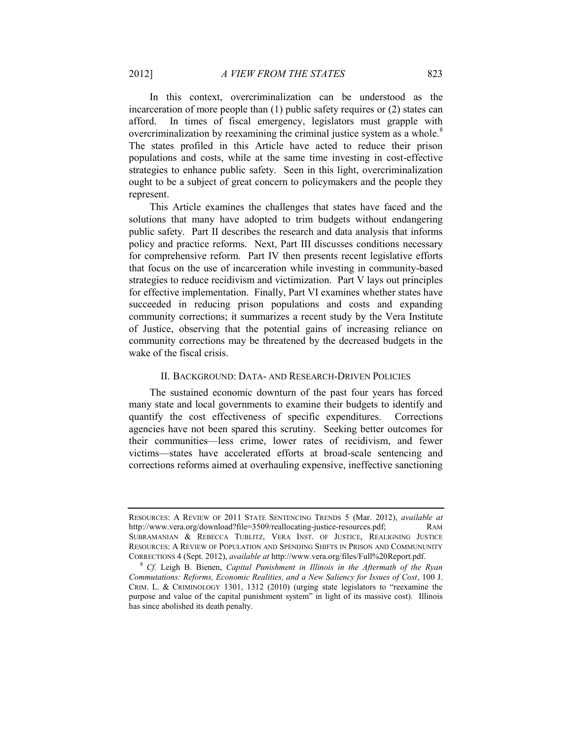In this context, overcriminalization can be understood as the incarceration of more people than (1) public safety requires or (2) states can afford. In times of fiscal emergency, legislators must grapple with overcriminalization by reexamining the criminal justice system as a whole.<sup>8</sup> The states profiled in this Article have acted to reduce their prison populations and costs, while at the same time investing in cost-effective strategies to enhance public safety. Seen in this light, overcriminalization ought to be a subject of great concern to policymakers and the people they represent.

This Article examines the challenges that states have faced and the solutions that many have adopted to trim budgets without endangering public safety. Part [II](#page-3-0) describes the research and data analysis that informs policy and practice reforms. Next, Part [III](#page-7-0) discusses conditions necessary for comprehensive reform. Part [IV](#page-14-0) then presents recent legislative efforts that focus on the use of incarceration while investing in community-based strategies to reduce recidivism and victimization. Part [V](#page-26-0) lays out principles for effective implementation. Finally, Part [VI](#page-28-0) examines whether states have succeeded in reducing prison populations and costs and expanding community corrections; it summarizes a recent study by the Vera Institute of Justice, observing that the potential gains of increasing reliance on community corrections may be threatened by the decreased budgets in the wake of the fiscal crisis.

# II. BACKGROUND: DATA- AND RESEARCH-DRIVEN POLICIES

<span id="page-3-0"></span>The sustained economic downturn of the past four years has forced many state and local governments to examine their budgets to identify and quantify the cost effectiveness of specific expenditures. Corrections agencies have not been spared this scrutiny. Seeking better outcomes for their communities—less crime, lower rates of recidivism, and fewer victims—states have accelerated efforts at broad-scale sentencing and corrections reforms aimed at overhauling expensive, ineffective sanctioning

RESOURCES: A REVIEW OF 2011 STATE SENTENCING TRENDS 5 (Mar. 2012), *available at*  http://www.vera.org/download?file=3509/reallocating-justice-resources.pdf; RAM SUBRAMANIAN & REBECCA TUBLITZ, VERA INST. OF JUSTICE, REALIGNING JUSTICE RESOURCES: A REVIEW OF POPULATION AND SPENDING SHIFTS IN PRISON AND COMMUNUNITY CORRECTIONS 4 (Sept. 2012), *available at* http://www.vera.org/files/Full%20Report.pdf.

<sup>8</sup> *Cf.* Leigh B. Bienen, *Capital Punishment in Illinois in the Aftermath of the Ryan Commutations: Reforms, Economic Realities, and a New Saliency for Issues of Cost*, 100 J. CRIM. L. & CRIMINOLOGY 1301, 1312 (2010) (urging state legislators to "reexamine the purpose and value of the capital punishment system" in light of its massive cost). Illinois has since abolished its death penalty.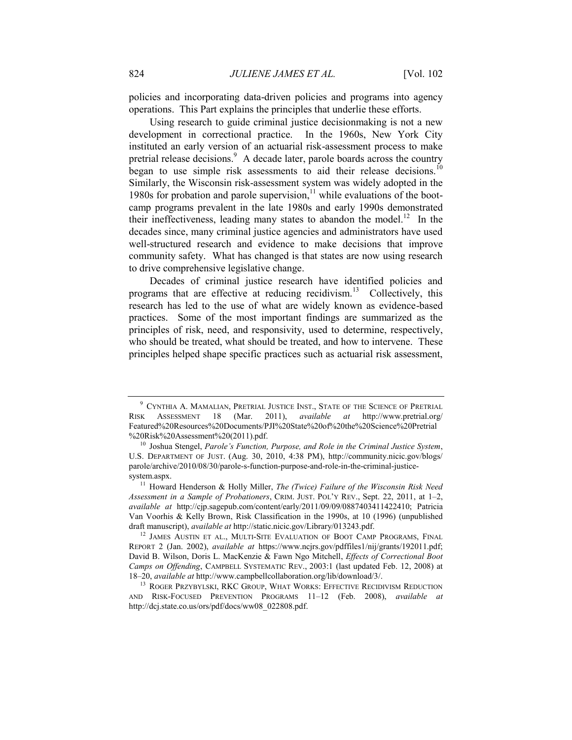policies and incorporating data-driven policies and programs into agency operations. This Part explains the principles that underlie these efforts.

Using research to guide criminal justice decisionmaking is not a new development in correctional practice. In the 1960s, New York City instituted an early version of an actuarial risk-assessment process to make pretrial release decisions.<sup>9</sup> A decade later, parole boards across the country began to use simple risk assessments to aid their release decisions.<sup>10</sup> Similarly, the Wisconsin risk-assessment system was widely adopted in the 1980s for probation and parole supervision, $11$  while evaluations of the bootcamp programs prevalent in the late 1980s and early 1990s demonstrated their ineffectiveness, leading many states to abandon the model.<sup>12</sup> In the decades since, many criminal justice agencies and administrators have used well-structured research and evidence to make decisions that improve community safety. What has changed is that states are now using research to drive comprehensive legislative change.

Decades of criminal justice research have identified policies and programs that are effective at reducing recidivism.<sup>13</sup> Collectively, this research has led to the use of what are widely known as evidence-based practices. Some of the most important findings are summarized as the principles of risk, need, and responsivity, used to determine, respectively, who should be treated, what should be treated, and how to intervene. These principles helped shape specific practices such as actuarial risk assessment,

<sup>&</sup>lt;sup>9</sup> CYNTHIA A. MAMALIAN, PRETRIAL JUSTICE INST., STATE OF THE SCIENCE OF PRETRIAL RISK ASSESSMENT 18 (Mar. 2011), *available at* http://www.pretrial.org/ Featured%20Resources%20Documents/PJI%20State%20of%20the%20Science%20Pretrial %20Risk%20Assessment%20(2011).pdf.

<sup>10</sup> Joshua Stengel, *Parole's Function, Purpose, and Role in the Criminal Justice System*, U.S. DEPARTMENT OF JUST. (Aug. 30, 2010, 4:38 PM), http://community.nicic.gov/blogs/ parole/archive/2010/08/30/parole-s-function-purpose-and-role-in-the-criminal-justicesystem.aspx.

<sup>11</sup> Howard Henderson & Holly Miller, *The (Twice) Failure of the Wisconsin Risk Need Assessment in a Sample of Probationers*, CRIM. JUST. POL'Y REV., Sept. 22, 2011, at 1–2, *available at* http://cjp.sagepub.com/content/early/2011/09/09/0887403411422410; Patricia Van Voorhis & Kelly Brown, Risk Classification in the 1990s, at 10 (1996) (unpublished draft manuscript), *available at* http://static.nicic.gov/Library/013243.pdf.

<sup>&</sup>lt;sup>12</sup> JAMES AUSTIN ET AL., MULTI-SITE EVALUATION OF BOOT CAMP PROGRAMS, FINAL REPORT 2 (Jan. 2002), *available at* https://www.ncjrs.gov/pdffiles1/nij/grants/192011.pdf; David B. Wilson, Doris L. MacKenzie & Fawn Ngo Mitchell, *Effects of Correctional Boot Camps on Offending*, CAMPBELL SYSTEMATIC REV., 2003:1 (last updated Feb. 12, 2008) at 18–20, *available at* http://www.campbellcollaboration.org/lib/download/3/.

<sup>&</sup>lt;sup>13</sup> ROGER PRZYBYLSKI, RKC GROUP, WHAT WORKS: EFFECTIVE RECIDIVISM REDUCTION AND RISK-FOCUSED PREVENTION PROGRAMS 11–12 (Feb. 2008), *available at* http://dcj.state.co.us/ors/pdf/docs/ww08\_022808.pdf.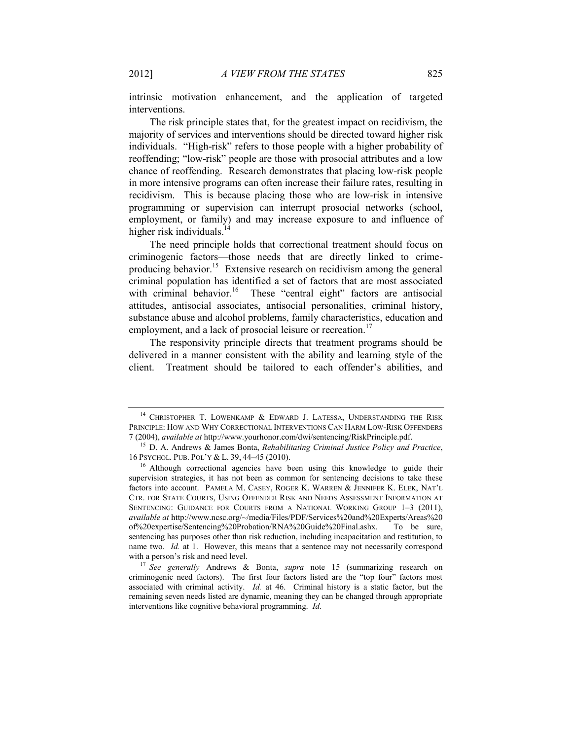intrinsic motivation enhancement, and the application of targeted interventions.

The risk principle states that, for the greatest impact on recidivism, the majority of services and interventions should be directed toward higher risk individuals. "High-risk" refers to those people with a higher probability of reoffending; "low-risk" people are those with prosocial attributes and a low chance of reoffending. Research demonstrates that placing low-risk people in more intensive programs can often increase their failure rates, resulting in recidivism. This is because placing those who are low-risk in intensive programming or supervision can interrupt prosocial networks (school, employment, or family) and may increase exposure to and influence of higher risk individuals. $14$ 

<span id="page-5-0"></span>The need principle holds that correctional treatment should focus on criminogenic factors—those needs that are directly linked to crimeproducing behavior.<sup>15</sup> Extensive research on recidivism among the general criminal population has identified a set of factors that are most associated with criminal behavior.<sup>16</sup> These "central eight" factors are antisocial attitudes, antisocial associates, antisocial personalities, criminal history, substance abuse and alcohol problems, family characteristics, education and employment, and a lack of prosocial leisure or recreation.<sup>17</sup>

The responsivity principle directs that treatment programs should be delivered in a manner consistent with the ability and learning style of the client. Treatment should be tailored to each offender's abilities, and

<sup>&</sup>lt;sup>14</sup> CHRISTOPHER T. LOWENKAMP & EDWARD J. LATESSA, UNDERSTANDING THE RISK PRINCIPLE: HOW AND WHY CORRECTIONAL INTERVENTIONS CAN HARM LOW-RISK OFFENDERS 7 (2004), *available at* http://www.yourhonor.com/dwi/sentencing/RiskPrinciple.pdf.

<sup>15</sup> D. A. Andrews & James Bonta, *Rehabilitating Criminal Justice Policy and Practice*, 16 PSYCHOL. PUB. POL'Y & L. 39, 44–45 (2010).

<sup>&</sup>lt;sup>16</sup> Although correctional agencies have been using this knowledge to guide their supervision strategies, it has not been as common for sentencing decisions to take these factors into account. PAMELA M. CASEY, ROGER K. WARREN & JENNIFER K. ELEK, NAT'L CTR. FOR STATE COURTS, USING OFFENDER RISK AND NEEDS ASSESSMENT INFORMATION AT SENTENCING: GUIDANCE FOR COURTS FROM A NATIONAL WORKING GROUP 1–3 (2011), *available at* http://www.ncsc.org/~/media/Files/PDF/Services%20and%20Experts/Areas%20 of%20expertise/Sentencing%20Probation/RNA%20Guide%20Final.ashx. To be sure, sentencing has purposes other than risk reduction, including incapacitation and restitution, to name two. *Id.* at 1. However, this means that a sentence may not necessarily correspond with a person's risk and need level.

<sup>17</sup> *See generally* Andrews & Bonta, *supra* note [15](#page-5-0) (summarizing research on criminogenic need factors). The first four factors listed are the "top four" factors most associated with criminal activity. *Id.* at 46. Criminal history is a static factor, but the remaining seven needs listed are dynamic, meaning they can be changed through appropriate interventions like cognitive behavioral programming. *Id.*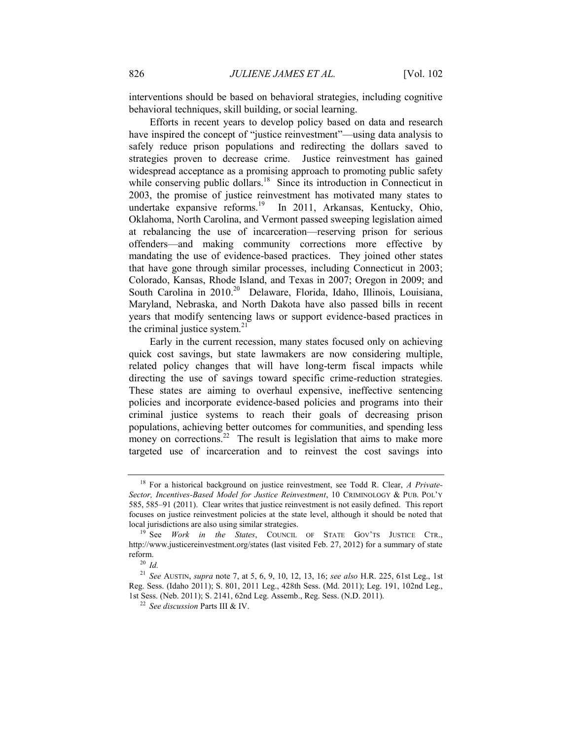interventions should be based on behavioral strategies, including cognitive behavioral techniques, skill building, or social learning.

Efforts in recent years to develop policy based on data and research have inspired the concept of "justice reinvestment"—using data analysis to safely reduce prison populations and redirecting the dollars saved to strategies proven to decrease crime. Justice reinvestment has gained widespread acceptance as a promising approach to promoting public safety while conserving public dollars.<sup>18</sup> Since its introduction in Connecticut in 2003, the promise of justice reinvestment has motivated many states to undertake expansive reforms.<sup>19</sup> In 2011, Arkansas, Kentucky, Ohio, Oklahoma, North Carolina, and Vermont passed sweeping legislation aimed at rebalancing the use of incarceration—reserving prison for serious offenders—and making community corrections more effective by mandating the use of evidence-based practices. They joined other states that have gone through similar processes, including Connecticut in 2003; Colorado, Kansas, Rhode Island, and Texas in 2007; Oregon in 2009; and South Carolina in 2010.<sup>20</sup> Delaware, Florida, Idaho, Illinois, Louisiana, Maryland, Nebraska, and North Dakota have also passed bills in recent years that modify sentencing laws or support evidence-based practices in the criminal justice system. $21$ 

Early in the current recession, many states focused only on achieving quick cost savings, but state lawmakers are now considering multiple, related policy changes that will have long-term fiscal impacts while directing the use of savings toward specific crime-reduction strategies. These states are aiming to overhaul expensive, ineffective sentencing policies and incorporate evidence-based policies and programs into their criminal justice systems to reach their goals of decreasing prison populations, achieving better outcomes for communities, and spending less money on corrections.<sup>22</sup> The result is legislation that aims to make more targeted use of incarceration and to reinvest the cost savings into

<sup>18</sup> For a historical background on justice reinvestment, see Todd R. Clear, *A Private-Sector, Incentives-Based Model for Justice Reinvestment*, 10 CRIMINOLOGY & PUB. POL'Y 585, 585–91 (2011). Clear writes that justice reinvestment is not easily defined. This report focuses on justice reinvestment policies at the state level, although it should be noted that local jurisdictions are also using similar strategies.

<sup>19</sup> See *Work in the States*, COUNCIL OF STATE GOV'TS JUSTICE CTR., http://www.justicereinvestment.org/states (last visited Feb. 27, 2012) for a summary of state reform.

<sup>20</sup> *Id.*

<sup>21</sup> *See* AUSTIN, *supra* note [7,](#page-2-0) at 5, 6, 9, 10, 12, 13, 16; *see also* H.R. 225, 61st Leg., 1st Reg. Sess. (Idaho 2011); S. 801, 2011 Leg., 428th Sess. (Md. 2011); Leg. 191, 102nd Leg., 1st Sess. (Neb. 2011); S. 2141, 62nd Leg. Assemb., Reg. Sess. (N.D. 2011).

<sup>22</sup> *See discussion* Part[s III](#page-7-0) [& IV.](#page-14-0)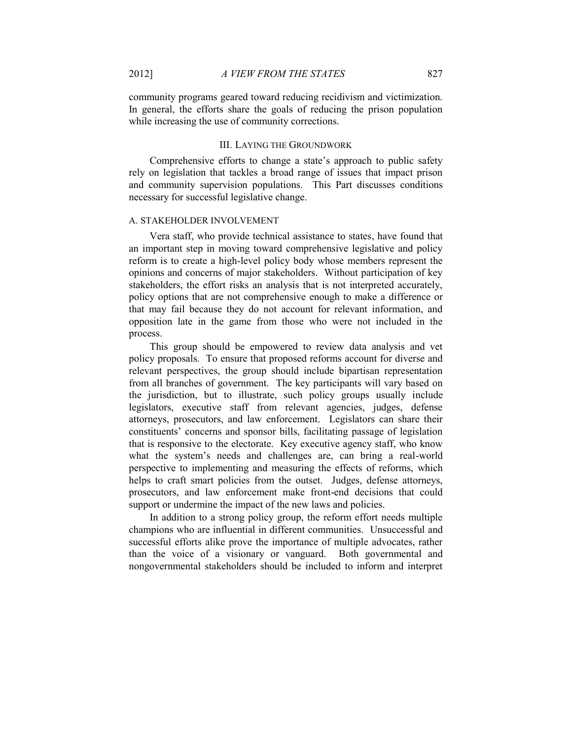community programs geared toward reducing recidivism and victimization. In general, the efforts share the goals of reducing the prison population while increasing the use of community corrections.

#### III. LAYING THE GROUNDWORK

<span id="page-7-0"></span>Comprehensive efforts to change a state's approach to public safety rely on legislation that tackles a broad range of issues that impact prison and community supervision populations. This Part discusses conditions necessary for successful legislative change.

# A. STAKEHOLDER INVOLVEMENT

Vera staff, who provide technical assistance to states, have found that an important step in moving toward comprehensive legislative and policy reform is to create a high-level policy body whose members represent the opinions and concerns of major stakeholders. Without participation of key stakeholders, the effort risks an analysis that is not interpreted accurately, policy options that are not comprehensive enough to make a difference or that may fail because they do not account for relevant information, and opposition late in the game from those who were not included in the process.

This group should be empowered to review data analysis and vet policy proposals. To ensure that proposed reforms account for diverse and relevant perspectives, the group should include bipartisan representation from all branches of government. The key participants will vary based on the jurisdiction, but to illustrate, such policy groups usually include legislators, executive staff from relevant agencies, judges, defense attorneys, prosecutors, and law enforcement. Legislators can share their constituents' concerns and sponsor bills, facilitating passage of legislation that is responsive to the electorate. Key executive agency staff, who know what the system's needs and challenges are, can bring a real-world perspective to implementing and measuring the effects of reforms, which helps to craft smart policies from the outset. Judges, defense attorneys, prosecutors, and law enforcement make front-end decisions that could support or undermine the impact of the new laws and policies.

In addition to a strong policy group, the reform effort needs multiple champions who are influential in different communities. Unsuccessful and successful efforts alike prove the importance of multiple advocates, rather than the voice of a visionary or vanguard. Both governmental and nongovernmental stakeholders should be included to inform and interpret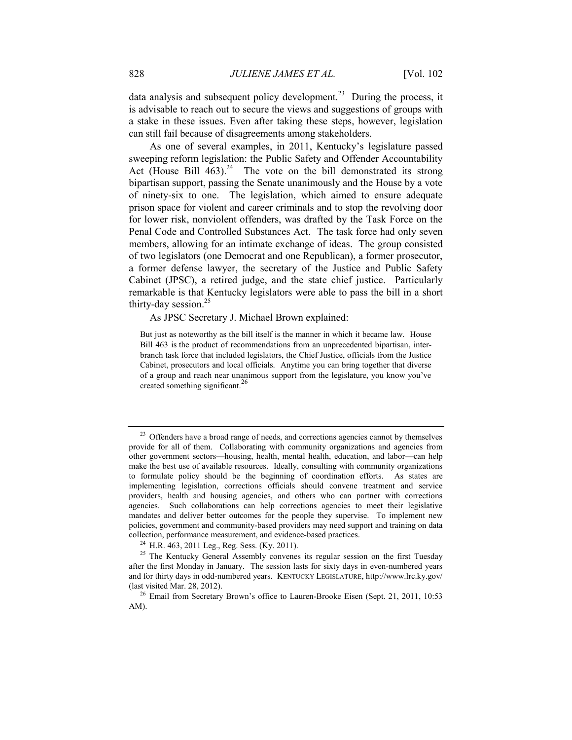data analysis and subsequent policy development.<sup>23</sup> During the process, it is advisable to reach out to secure the views and suggestions of groups with a stake in these issues. Even after taking these steps, however, legislation can still fail because of disagreements among stakeholders.

As one of several examples, in 2011, Kentucky's legislature passed sweeping reform legislation: the Public Safety and Offender Accountability Act (House Bill  $463$ ).<sup>24</sup> The vote on the bill demonstrated its strong bipartisan support, passing the Senate unanimously and the House by a vote of ninety-six to one. The legislation, which aimed to ensure adequate prison space for violent and career criminals and to stop the revolving door for lower risk, nonviolent offenders, was drafted by the Task Force on the Penal Code and Controlled Substances Act. The task force had only seven members, allowing for an intimate exchange of ideas. The group consisted of two legislators (one Democrat and one Republican), a former prosecutor, a former defense lawyer, the secretary of the Justice and Public Safety Cabinet (JPSC), a retired judge, and the state chief justice. Particularly remarkable is that Kentucky legislators were able to pass the bill in a short thirty-day session. $25$ 

#### As JPSC Secretary J. Michael Brown explained:

But just as noteworthy as the bill itself is the manner in which it became law. House Bill 463 is the product of recommendations from an unprecedented bipartisan, interbranch task force that included legislators, the Chief Justice, officials from the Justice Cabinet, prosecutors and local officials. Anytime you can bring together that diverse of a group and reach near unanimous support from the legislature, you know you've created something significant.<sup>26</sup>

<sup>&</sup>lt;sup>23</sup> Offenders have a broad range of needs, and corrections agencies cannot by themselves provide for all of them. Collaborating with community organizations and agencies from other government sectors—housing, health, mental health, education, and labor—can help make the best use of available resources. Ideally, consulting with community organizations to formulate policy should be the beginning of coordination efforts. As states are implementing legislation, corrections officials should convene treatment and service providers, health and housing agencies, and others who can partner with corrections agencies. Such collaborations can help corrections agencies to meet their legislative mandates and deliver better outcomes for the people they supervise. To implement new policies, government and community-based providers may need support and training on data collection, performance measurement, and evidence-based practices.

<sup>24</sup> H.R. 463, 2011 Leg., Reg. Sess. (Ky. 2011).

 $25$  The Kentucky General Assembly convenes its regular session on the first Tuesday after the first Monday in January. The session lasts for sixty days in even-numbered years and for thirty days in odd-numbered years. KENTUCKY LEGISLATURE, http://www.lrc.ky.gov/ (last visited Mar. 28, 2012).

<sup>&</sup>lt;sup>26</sup> Email from Secretary Brown's office to Lauren-Brooke Eisen (Sept. 21, 2011, 10:53 AM).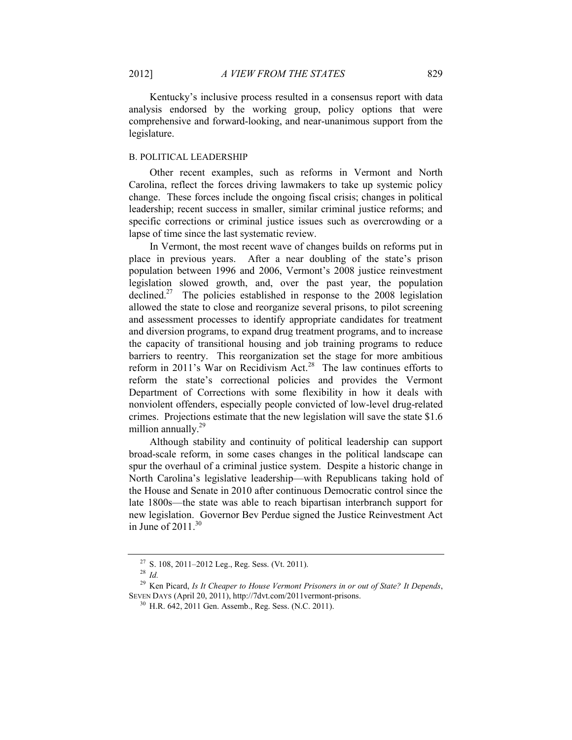Kentucky's inclusive process resulted in a consensus report with data analysis endorsed by the working group, policy options that were comprehensive and forward-looking, and near-unanimous support from the legislature.

#### B. POLITICAL LEADERSHIP

Other recent examples, such as reforms in Vermont and North Carolina, reflect the forces driving lawmakers to take up systemic policy change. These forces include the ongoing fiscal crisis; changes in political leadership; recent success in smaller, similar criminal justice reforms; and specific corrections or criminal justice issues such as overcrowding or a lapse of time since the last systematic review.

In Vermont, the most recent wave of changes builds on reforms put in place in previous years. After a near doubling of the state's prison population between 1996 and 2006, Vermont's 2008 justice reinvestment legislation slowed growth, and, over the past year, the population declined.<sup>27</sup> The policies established in response to the 2008 legislation allowed the state to close and reorganize several prisons, to pilot screening and assessment processes to identify appropriate candidates for treatment and diversion programs, to expand drug treatment programs, and to increase the capacity of transitional housing and job training programs to reduce barriers to reentry. This reorganization set the stage for more ambitious reform in 2011's War on Recidivism Act.<sup>28</sup> The law continues efforts to reform the state's correctional policies and provides the Vermont Department of Corrections with some flexibility in how it deals with nonviolent offenders, especially people convicted of low-level drug-related crimes. Projections estimate that the new legislation will save the state \$1.6 million annually.<sup>29</sup>

Although stability and continuity of political leadership can support broad-scale reform, in some cases changes in the political landscape can spur the overhaul of a criminal justice system. Despite a historic change in North Carolina's legislative leadership—with Republicans taking hold of the House and Senate in 2010 after continuous Democratic control since the late 1800s—the state was able to reach bipartisan interbranch support for new legislation. Governor Bev Perdue signed the Justice Reinvestment Act in June of  $2011.^{30}$ 

 $27$  S. 108, 2011–2012 Leg., Reg. Sess. (Vt. 2011).

<sup>28</sup> *Id.*

<sup>29</sup> Ken Picard, *Is It Cheaper to House Vermont Prisoners in or out of State? It Depends*, SEVEN DAYS (April 20, 2011), http://7dvt.com/2011vermont-prisons.

<sup>30</sup> H.R. 642, 2011 Gen. Assemb., Reg. Sess. (N.C. 2011).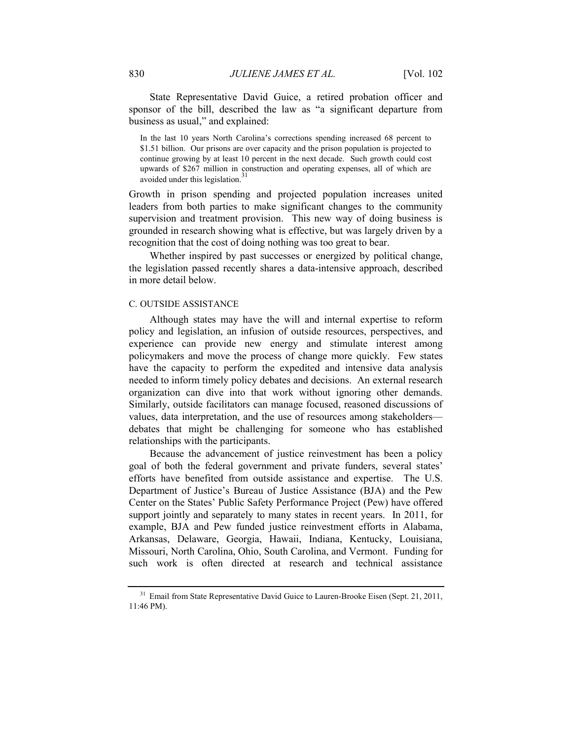State Representative David Guice, a retired probation officer and sponsor of the bill, described the law as "a significant departure from business as usual," and explained:

In the last 10 years North Carolina's corrections spending increased 68 percent to \$1.51 billion. Our prisons are over capacity and the prison population is projected to continue growing by at least 10 percent in the next decade. Such growth could cost upwards of \$267 million in construction and operating expenses, all of which are avoided under this legislation.<sup>3</sup>

Growth in prison spending and projected population increases united leaders from both parties to make significant changes to the community supervision and treatment provision. This new way of doing business is grounded in research showing what is effective, but was largely driven by a recognition that the cost of doing nothing was too great to bear.

Whether inspired by past successes or energized by political change, the legislation passed recently shares a data-intensive approach, described in more detail below.

#### C. OUTSIDE ASSISTANCE

Although states may have the will and internal expertise to reform policy and legislation, an infusion of outside resources, perspectives, and experience can provide new energy and stimulate interest among policymakers and move the process of change more quickly. Few states have the capacity to perform the expedited and intensive data analysis needed to inform timely policy debates and decisions. An external research organization can dive into that work without ignoring other demands. Similarly, outside facilitators can manage focused, reasoned discussions of values, data interpretation, and the use of resources among stakeholders debates that might be challenging for someone who has established relationships with the participants.

Because the advancement of justice reinvestment has been a policy goal of both the federal government and private funders, several states' efforts have benefited from outside assistance and expertise. The U.S. Department of Justice's Bureau of Justice Assistance (BJA) and the Pew Center on the States' Public Safety Performance Project (Pew) have offered support jointly and separately to many states in recent years. In 2011, for example, BJA and Pew funded justice reinvestment efforts in Alabama, Arkansas, Delaware, Georgia, Hawaii, Indiana, Kentucky, Louisiana, Missouri, North Carolina, Ohio, South Carolina, and Vermont. Funding for such work is often directed at research and technical assistance

<sup>&</sup>lt;sup>31</sup> Email from State Representative David Guice to Lauren-Brooke Eisen (Sept. 21, 2011, 11:46 PM).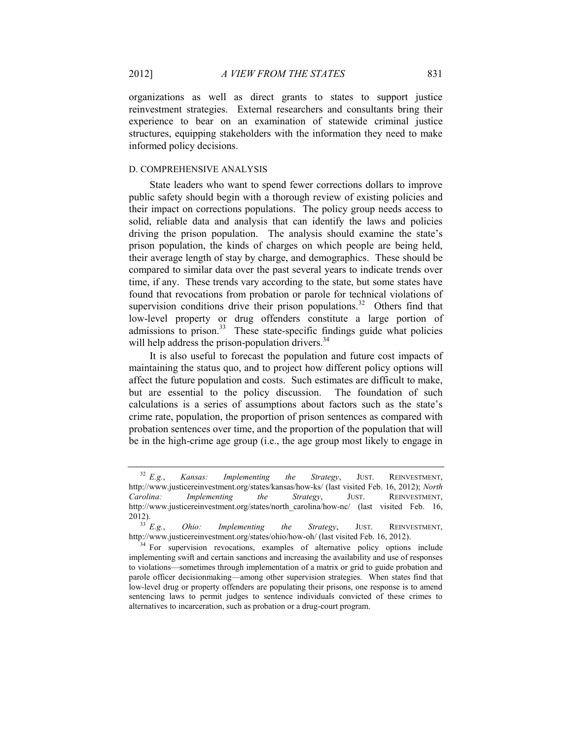organizations as well as direct grants to states to support justice reinvestment strategies. External researchers and consultants bring their experience to bear on an examination of statewide criminal justice structures, equipping stakeholders with the information they need to make informed policy decisions.

#### D. COMPREHENSIVE ANALYSIS

State leaders who want to spend fewer corrections dollars to improve public safety should begin with a thorough review of existing policies and their impact on corrections populations. The policy group needs access to solid, reliable data and analysis that can identify the laws and policies driving the prison population. The analysis should examine the state's prison population, the kinds of charges on which people are being held, their average length of stay by charge, and demographics. These should be compared to similar data over the past several years to indicate trends over time, if any. These trends vary according to the state, but some states have found that revocations from probation or parole for technical violations of supervision conditions drive their prison populations.<sup>32</sup> Others find that low-level property or drug offenders constitute a large portion of  $r_{\text{max}}$  admissions to prison.<sup>33</sup> These state-specific findings guide what policies will help address the prison-population drivers.<sup>34</sup>

It is also useful to forecast the population and future cost impacts of maintaining the status quo, and to project how different policy options will affect the future population and costs. Such estimates are difficult to make, but are essential to the policy discussion. The foundation of such calculations is a series of assumptions about factors such as the state's crime rate, population, the proportion of prison sentences as compared with probation sentences over time, and the proportion of the population that will be in the high-crime age group (i.e., the age group most likely to engage in

<sup>32</sup> *E.g.*, *Kansas: Implementing the Strategy*, JUST. REINVESTMENT, http://www.justicereinvestment.org/states/kansas/how-ks/ (last visited Feb. 16, 2012); *North Carolina: Implementing the Strategy*, JUST. REINVESTMENT, http://www.justicereinvestment.org/states/north\_carolina/how-nc/ (last\_visited Feb. 16, 2012).<br> $33 E.g.,$ 

*Ohio: Implementing the Strategy*, JUST. REINVESTMENT, http://www.justicereinvestment.org/states/ohio/how-oh/ (last visited Feb. 16, 2012).

<sup>&</sup>lt;sup>34</sup> For supervision revocations, examples of alternative policy options include implementing swift and certain sanctions and increasing the availability and use of responses to violations—sometimes through implementation of a matrix or grid to guide probation and parole officer decisionmaking—among other supervision strategies. When states find that low-level drug or property offenders are populating their prisons, one response is to amend sentencing laws to permit judges to sentence individuals convicted of these crimes to alternatives to incarceration, such as probation or a drug-court program.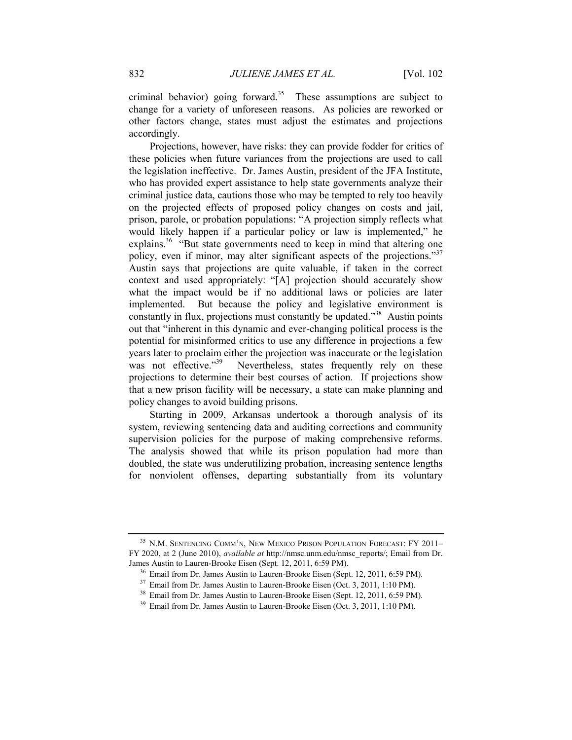criminal behavior) going forward.<sup>35</sup> These assumptions are subject to change for a variety of unforeseen reasons. As policies are reworked or other factors change, states must adjust the estimates and projections accordingly.

Projections, however, have risks: they can provide fodder for critics of these policies when future variances from the projections are used to call the legislation ineffective. Dr. James Austin, president of the JFA Institute, who has provided expert assistance to help state governments analyze their criminal justice data, cautions those who may be tempted to rely too heavily on the projected effects of proposed policy changes on costs and jail, prison, parole, or probation populations: "A projection simply reflects what would likely happen if a particular policy or law is implemented," he explains.<sup>36</sup> "But state governments need to keep in mind that altering one policy, even if minor, may alter significant aspects of the projections."<sup>37</sup> Austin says that projections are quite valuable, if taken in the correct context and used appropriately: "[A] projection should accurately show what the impact would be if no additional laws or policies are later implemented. But because the policy and legislative environment is constantly in flux, projections must constantly be updated.<sup>338</sup> Austin points out that "inherent in this dynamic and ever-changing political process is the potential for misinformed critics to use any difference in projections a few years later to proclaim either the projection was inaccurate or the legislation was not effective."<sup>39</sup> Nevertheless, states frequently rely on these projections to determine their best courses of action. If projections show that a new prison facility will be necessary, a state can make planning and policy changes to avoid building prisons.

Starting in 2009, Arkansas undertook a thorough analysis of its system, reviewing sentencing data and auditing corrections and community supervision policies for the purpose of making comprehensive reforms. The analysis showed that while its prison population had more than doubled, the state was underutilizing probation, increasing sentence lengths for nonviolent offenses, departing substantially from its voluntary

<sup>&</sup>lt;sup>35</sup> N.M. SENTENCING COMM'N, NEW MEXICO PRISON POPULATION FORECAST: FY 2011-FY 2020, at 2 (June 2010), *available at* http://nmsc.unm.edu/nmsc\_reports/; Email from Dr. James Austin to Lauren-Brooke Eisen (Sept. 12, 2011, 6:59 PM).

<sup>&</sup>lt;sup>36</sup> Email from Dr. James Austin to Lauren-Brooke Eisen (Sept. 12, 2011, 6:59 PM).

<sup>&</sup>lt;sup>37</sup> Email from Dr. James Austin to Lauren-Brooke Eisen (Oct. 3, 2011, 1:10 PM).

<sup>&</sup>lt;sup>38</sup> Email from Dr. James Austin to Lauren-Brooke Eisen (Sept. 12, 2011, 6:59 PM).

<sup>&</sup>lt;sup>39</sup> Email from Dr. James Austin to Lauren-Brooke Eisen (Oct. 3, 2011, 1:10 PM).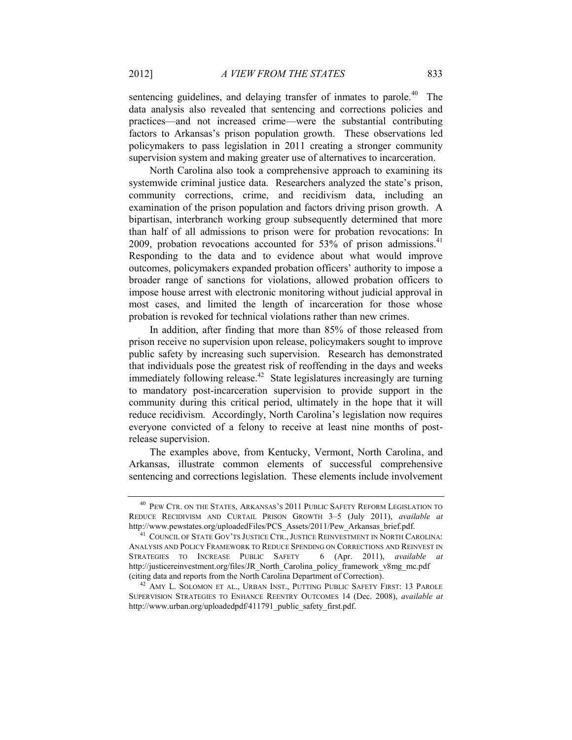sentencing guidelines, and delaying transfer of inmates to parole.<sup>40</sup> The data analysis also revealed that sentencing and corrections policies and practices—and not increased crime—were the substantial contributing factors to Arkansas's prison population growth. These observations led policymakers to pass legislation in 2011 creating a stronger community supervision system and making greater use of alternatives to incarceration.

North Carolina also took a comprehensive approach to examining its systemwide criminal justice data. Researchers analyzed the state's prison, community corrections, crime, and recidivism data, including an examination of the prison population and factors driving prison growth. A bipartisan, interbranch working group subsequently determined that more than half of all admissions to prison were for probation revocations: In 2009, probation revocations accounted for  $53\%$  of prison admissions.<sup>41</sup> Responding to the data and to evidence about what would improve outcomes, policymakers expanded probation officers' authority to impose a broader range of sanctions for violations, allowed probation officers to impose house arrest with electronic monitoring without judicial approval in most cases, and limited the length of incarceration for those whose probation is revoked for technical violations rather than new crimes.

In addition, after finding that more than 85% of those released from prison receive no supervision upon release, policymakers sought to improve public safety by increasing such supervision. Research has demonstrated that individuals pose the greatest risk of reoffending in the days and weeks immediately following release.<sup>42</sup> State legislatures increasingly are turning to mandatory post-incarceration supervision to provide support in the community during this critical period, ultimately in the hope that it will reduce recidivism. Accordingly, North Carolina's legislation now requires everyone convicted of a felony to receive at least nine months of postrelease supervision.

The examples above, from Kentucky, Vermont, North Carolina, and Arkansas, illustrate common elements of successful comprehensive sentencing and corrections legislation. These elements include involvement

<sup>40</sup> PEW CTR. ON THE STATES, ARKANSAS'S 2011 PUBLIC SAFETY REFORM LEGISLATION TO REDUCE RECIDIVISM AND CURTAIL PRISON GROWTH 3–5 (July 2011), *available at* http://www.pewstates.org/uploadedFiles/PCS\_Assets/2011/Pew\_Arkansas\_brief.pdf.

<sup>&</sup>lt;sup>41</sup> COUNCIL OF STATE GOV'TS JUSTICE CTR., JUSTICE REINVESTMENT IN NORTH CAROLINA: ANALYSIS AND POLICY FRAMEWORK TO REDUCE SPENDING ON CORRECTIONS AND REINVEST IN STRATEGIES TO INCREASE PUBLIC SAFETY 6 (Apr. 2011), *available at* http://justicereinvestment.org/files/JR\_North\_Carolina\_policy\_framework\_v8mg\_mc.pdf (citing data and reports from the North Carolina Department of Correction).

<sup>&</sup>lt;sup>42</sup> AMY L. SOLOMON ET AL., URBAN INST., PUTTING PUBLIC SAFETY FIRST: 13 PAROLE SUPERVISION STRATEGIES TO ENHANCE REENTRY OUTCOMES 14 (Dec. 2008), *available at* http://www.urban.org/uploadedpdf/411791\_public\_safety\_first.pdf.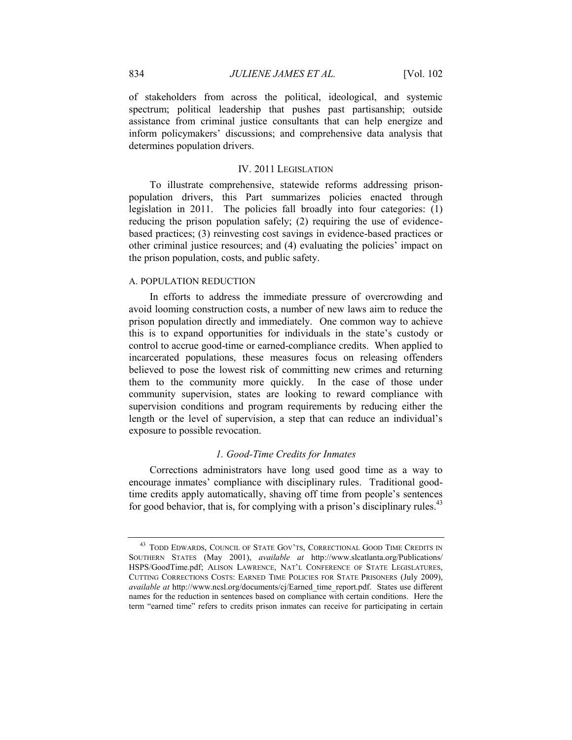of stakeholders from across the political, ideological, and systemic spectrum; political leadership that pushes past partisanship; outside assistance from criminal justice consultants that can help energize and inform policymakers' discussions; and comprehensive data analysis that determines population drivers.

# IV. 2011 LEGISLATION

<span id="page-14-0"></span>To illustrate comprehensive, statewide reforms addressing prisonpopulation drivers, this Part summarizes policies enacted through legislation in 2011. The policies fall broadly into four categories: (1) reducing the prison population safely; (2) requiring the use of evidencebased practices; (3) reinvesting cost savings in evidence-based practices or other criminal justice resources; and (4) evaluating the policies' impact on the prison population, costs, and public safety.

#### A. POPULATION REDUCTION

In efforts to address the immediate pressure of overcrowding and avoid looming construction costs, a number of new laws aim to reduce the prison population directly and immediately. One common way to achieve this is to expand opportunities for individuals in the state's custody or control to accrue good-time or earned-compliance credits. When applied to incarcerated populations, these measures focus on releasing offenders believed to pose the lowest risk of committing new crimes and returning them to the community more quickly. In the case of those under community supervision, states are looking to reward compliance with supervision conditions and program requirements by reducing either the length or the level of supervision, a step that can reduce an individual's exposure to possible revocation.

#### *1. Good-Time Credits for Inmates*

Corrections administrators have long used good time as a way to encourage inmates' compliance with disciplinary rules. Traditional goodtime credits apply automatically, shaving off time from people's sentences for good behavior, that is, for complying with a prison's disciplinary rules.<sup>43</sup>

<sup>&</sup>lt;sup>43</sup> TODD EDWARDS, COUNCIL OF STATE GOV'TS, CORRECTIONAL GOOD TIME CREDITS IN SOUTHERN STATES (May 2001), *available at* http://www.slcatlanta.org/Publications/ HSPS/GoodTime.pdf; ALISON LAWRENCE, NAT'L CONFERENCE OF STATE LEGISLATURES, CUTTING CORRECTIONS COSTS: EARNED TIME POLICIES FOR STATE PRISONERS (July 2009), *available at* http://www.ncsl.org/documents/cj/Earned\_time\_report.pdf. States use different names for the reduction in sentences based on compliance with certain conditions. Here the term "earned time" refers to credits prison inmates can receive for participating in certain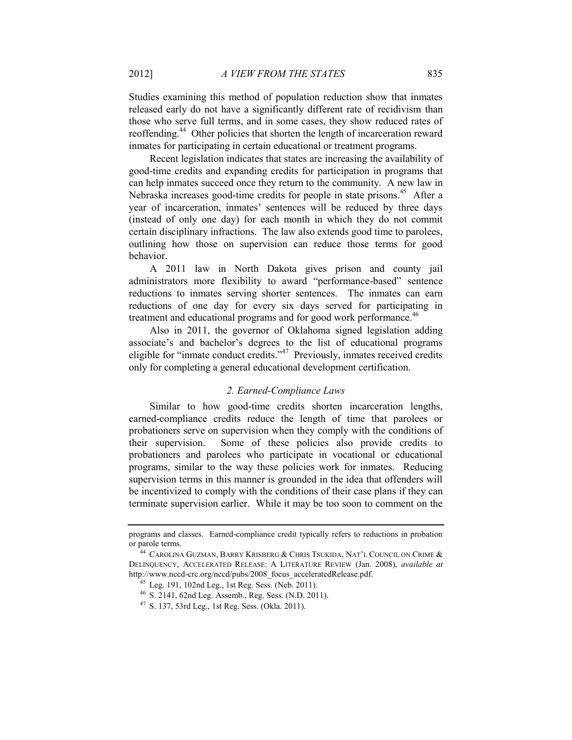Studies examining this method of population reduction show that inmates released early do not have a significantly different rate of recidivism than those who serve full terms, and in some cases, they show reduced rates of reoffending.<sup>44</sup> Other policies that shorten the length of incarceration reward inmates for participating in certain educational or treatment programs.

Recent legislation indicates that states are increasing the availability of good-time credits and expanding credits for participation in programs that can help inmates succeed once they return to the community. A new law in Nebraska increases good-time credits for people in state prisons.<sup>45</sup> After a year of incarceration, inmates' sentences will be reduced by three days (instead of only one day) for each month in which they do not commit certain disciplinary infractions. The law also extends good time to parolees, outlining how those on supervision can reduce those terms for good behavior.

A 2011 law in North Dakota gives prison and county jail administrators more flexibility to award "performance-based" sentence reductions to inmates serving shorter sentences. The inmates can earn reductions of one day for every six days served for participating in treatment and educational programs and for good work performance.<sup>46</sup>

Also in 2011, the governor of Oklahoma signed legislation adding associate's and bachelor's degrees to the list of educational programs eligible for "inmate conduct credits."<sup>47</sup> Previously, inmates received credits only for completing a general educational development certification.

# *2. Earned-Compliance Laws*

Similar to how good-time credits shorten incarceration lengths, earned-compliance credits reduce the length of time that parolees or probationers serve on supervision when they comply with the conditions of their supervision. Some of these policies also provide credits to probationers and parolees who participate in vocational or educational programs, similar to the way these policies work for inmates. Reducing supervision terms in this manner is grounded in the idea that offenders will be incentivized to comply with the conditions of their case plans if they can terminate supervision earlier. While it may be too soon to comment on the

programs and classes. Earned-compliance credit typically refers to reductions in probation or parole terms.

 $^{44}$  Carolina Guzman, Barry Krisberg & Chris Tsukida, Nat'l Council on Crime & DELINQUENCY, ACCELERATED RELEASE: A LITERATURE REVIEW (Jan. 2008), *available at* http://www.nccd-crc.org/nccd/pubs/2008\_focus\_acceleratedRelease.pdf.

<sup>45</sup> Leg. 191, 102nd Leg., 1st Reg. Sess. (Neb. 2011).

<sup>46</sup> S. 2141, 62nd Leg. Assemb., Reg. Sess. (N.D. 2011).

<sup>47</sup> S. 137, 53rd Leg., 1st Reg. Sess. (Okla. 2011).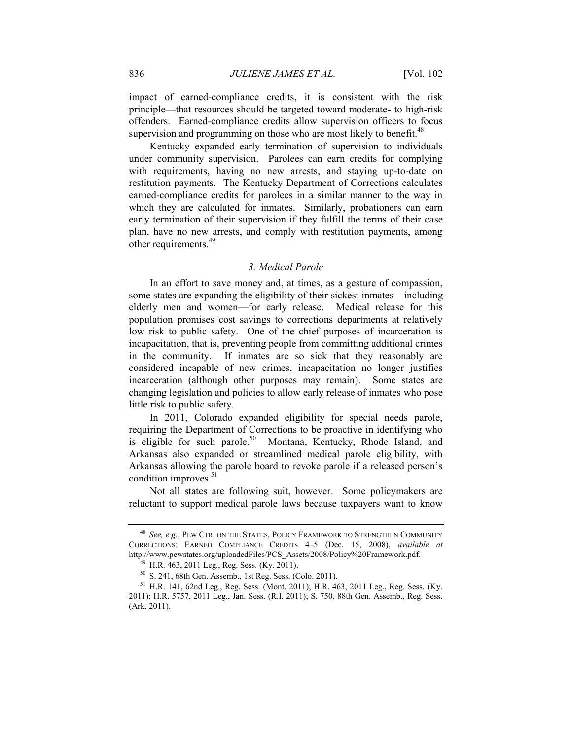impact of earned-compliance credits, it is consistent with the risk principle—that resources should be targeted toward moderate- to high-risk offenders. Earned-compliance credits allow supervision officers to focus supervision and programming on those who are most likely to benefit.<sup>48</sup>

Kentucky expanded early termination of supervision to individuals under community supervision. Parolees can earn credits for complying with requirements, having no new arrests, and staying up-to-date on restitution payments. The Kentucky Department of Corrections calculates earned-compliance credits for parolees in a similar manner to the way in which they are calculated for inmates. Similarly, probationers can earn early termination of their supervision if they fulfill the terms of their case plan, have no new arrests, and comply with restitution payments, among other requirements.<sup>49</sup>

# *3. Medical Parole*

In an effort to save money and, at times, as a gesture of compassion, some states are expanding the eligibility of their sickest inmates—including elderly men and women—for early release. Medical release for this population promises cost savings to corrections departments at relatively low risk to public safety. One of the chief purposes of incarceration is incapacitation, that is, preventing people from committing additional crimes in the community. If inmates are so sick that they reasonably are considered incapable of new crimes, incapacitation no longer justifies incarceration (although other purposes may remain). Some states are changing legislation and policies to allow early release of inmates who pose little risk to public safety.

In 2011, Colorado expanded eligibility for special needs parole, requiring the Department of Corrections to be proactive in identifying who is eligible for such parole.<sup>50</sup> Montana, Kentucky, Rhode Island, and Arkansas also expanded or streamlined medical parole eligibility, with Arkansas allowing the parole board to revoke parole if a released person's condition improves.<sup>51</sup>

Not all states are following suit, however. Some policymakers are reluctant to support medical parole laws because taxpayers want to know

<sup>48</sup> *See, e.g.*, PEW CTR. ON THE STATES, POLICY FRAMEWORK TO STRENGTHEN COMMUNITY CORRECTIONS: EARNED COMPLIANCE CREDITS 4–5 (Dec. 15, 2008), *available at* http://www.pewstates.org/uploadedFiles/PCS\_Assets/2008/Policy%20Framework.pdf.

<sup>49</sup> H.R. 463, 2011 Leg., Reg. Sess. (Ky. 2011).

<sup>50</sup> S. 241, 68th Gen. Assemb., 1st Reg. Sess. (Colo. 2011).

 $51$  H.R. 141, 62nd Leg., Reg. Sess. (Mont. 2011); H.R. 463, 2011 Leg., Reg. Sess. (Ky. 2011); H.R. 5757, 2011 Leg., Jan. Sess. (R.I. 2011); S. 750, 88th Gen. Assemb., Reg. Sess. (Ark. 2011).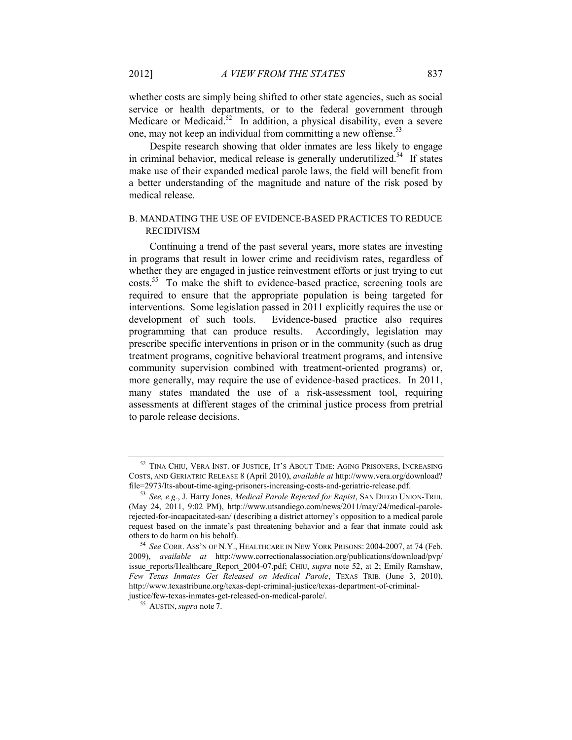<span id="page-17-0"></span>whether costs are simply being shifted to other state agencies, such as social service or health departments, or to the federal government through Medicare or Medicaid.<sup>52</sup> In addition, a physical disability, even a severe one, may not keep an individual from committing a new offense.<sup>53</sup>

Despite research showing that older inmates are less likely to engage in criminal behavior, medical release is generally underutilized.<sup>54</sup> If states make use of their expanded medical parole laws, the field will benefit from a better understanding of the magnitude and nature of the risk posed by medical release.

# B. MANDATING THE USE OF EVIDENCE-BASED PRACTICES TO REDUCE RECIDIVISM

Continuing a trend of the past several years, more states are investing in programs that result in lower crime and recidivism rates, regardless of whether they are engaged in justice reinvestment efforts or just trying to cut costs.<sup>55</sup> To make the shift to evidence-based practice, screening tools are required to ensure that the appropriate population is being targeted for interventions. Some legislation passed in 2011 explicitly requires the use or development of such tools. Evidence-based practice also requires programming that can produce results. Accordingly, legislation may prescribe specific interventions in prison or in the community (such as drug treatment programs, cognitive behavioral treatment programs, and intensive community supervision combined with treatment-oriented programs) or, more generally, may require the use of evidence-based practices. In 2011, many states mandated the use of a risk-assessment tool, requiring assessments at different stages of the criminal justice process from pretrial to parole release decisions.

<sup>&</sup>lt;sup>52</sup> TINA CHIU, VERA INST. OF JUSTICE, IT'S ABOUT TIME: AGING PRISONERS, INCREASING COSTS, AND GERIATRIC RELEASE 8 (April 2010), *available at* http://www.vera.org/download? file=2973/Its-about-time-aging-prisoners-increasing-costs-and-geriatric-release.pdf.

<sup>53</sup> *See, e.g.*, J. Harry Jones, *Medical Parole Rejected for Rapist*, SAN DIEGO UNION-TRIB. (May 24, 2011, 9:02 PM), http://www.utsandiego.com/news/2011/may/24/medical-parolerejected-for-incapacitated-san/ (describing a district attorney's opposition to a medical parole request based on the inmate's past threatening behavior and a fear that inmate could ask others to do harm on his behalf).

<sup>54</sup> *See* CORR. ASS'N OF N.Y., HEALTHCARE IN NEW YORK PRISONS: 2004-2007, at 74 (Feb. 2009), *available at* http://www.correctionalassociation.org/publications/download/pvp/ issue\_reports/Healthcare\_Report\_2004-07.pdf; CHIU, *supra* note [52,](#page-17-0) at 2; Emily Ramshaw, *Few Texas Inmates Get Released on Medical Parole*, TEXAS TRIB. (June 3, 2010), http://www.texastribune.org/texas-dept-criminal-justice/texas-department-of-criminaljustice/few-texas-inmates-get-released-on-medical-parole/.

<sup>55</sup> AUSTIN, *supra* note [7.](#page-2-0)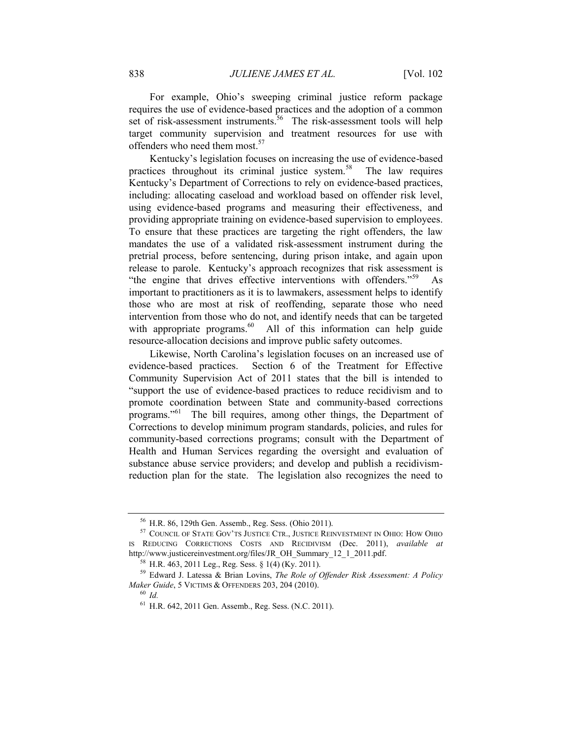For example, Ohio's sweeping criminal justice reform package requires the use of evidence-based practices and the adoption of a common set of risk-assessment instruments.<sup>56</sup> The risk-assessment tools will help target community supervision and treatment resources for use with offenders who need them most.<sup>57</sup>

<span id="page-18-0"></span>Kentucky's legislation focuses on increasing the use of evidence-based practices throughout its criminal justice system.<sup>58</sup> The law requires Kentucky's Department of Corrections to rely on evidence-based practices, including: allocating caseload and workload based on offender risk level, using evidence-based programs and measuring their effectiveness, and providing appropriate training on evidence-based supervision to employees. To ensure that these practices are targeting the right offenders, the law mandates the use of a validated risk-assessment instrument during the pretrial process, before sentencing, during prison intake, and again upon release to parole. Kentucky's approach recognizes that risk assessment is "the engine that drives effective interventions with offenders."<sup>59</sup> As important to practitioners as it is to lawmakers, assessment helps to identify those who are most at risk of reoffending, separate those who need intervention from those who do not, and identify needs that can be targeted with appropriate programs.<sup>60</sup> All of this information can help guide resource-allocation decisions and improve public safety outcomes.

Likewise, North Carolina's legislation focuses on an increased use of evidence-based practices. Section 6 of the Treatment for Effective Community Supervision Act of 2011 states that the bill is intended to "support the use of evidence-based practices to reduce recidivism and to promote coordination between State and community-based corrections programs."<sup>61</sup> The bill requires, among other things, the Department of Corrections to develop minimum program standards, policies, and rules for community-based corrections programs; consult with the Department of Health and Human Services regarding the oversight and evaluation of substance abuse service providers; and develop and publish a recidivismreduction plan for the state. The legislation also recognizes the need to

<sup>56</sup> H.R. 86, 129th Gen. Assemb., Reg. Sess. (Ohio 2011).

<sup>57</sup> COUNCIL OF STATE GOV'TS JUSTICE CTR., JUSTICE REINVESTMENT IN OHIO: HOW OHIO IS REDUCING CORRECTIONS COSTS AND RECIDIVISM (Dec. 2011), *available at* http://www.justicereinvestment.org/files/JR\_OH\_Summary\_12\_1\_2011.pdf.

<sup>58</sup> H.R. 463, 2011 Leg., Reg. Sess. § 1(4) (Ky. 2011).

<sup>59</sup> Edward J. Latessa & Brian Lovins, *The Role of Offender Risk Assessment: A Policy Maker Guide*, 5 VICTIMS & OFFENDERS 203, 204 (2010).

<sup>60</sup> *Id.*

<sup>61</sup> H.R. 642, 2011 Gen. Assemb., Reg. Sess. (N.C. 2011).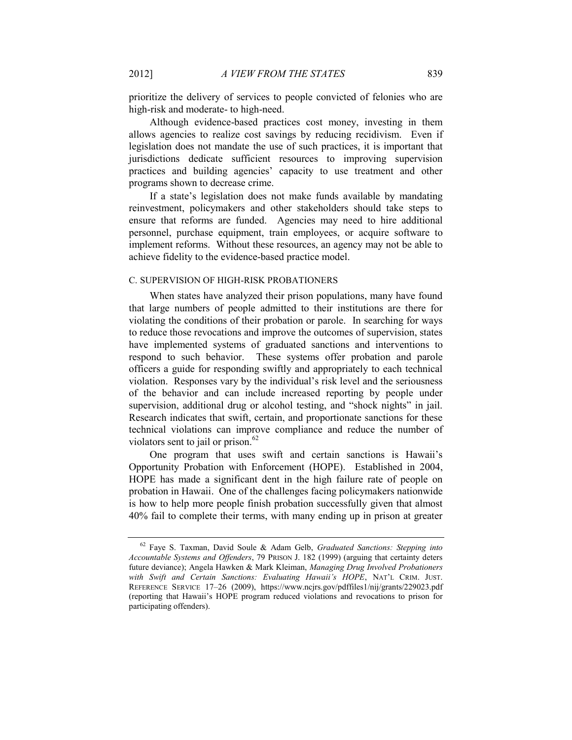prioritize the delivery of services to people convicted of felonies who are high-risk and moderate- to high-need.

Although evidence-based practices cost money, investing in them allows agencies to realize cost savings by reducing recidivism. Even if legislation does not mandate the use of such practices, it is important that jurisdictions dedicate sufficient resources to improving supervision practices and building agencies' capacity to use treatment and other programs shown to decrease crime.

If a state's legislation does not make funds available by mandating reinvestment, policymakers and other stakeholders should take steps to ensure that reforms are funded. Agencies may need to hire additional personnel, purchase equipment, train employees, or acquire software to implement reforms. Without these resources, an agency may not be able to achieve fidelity to the evidence-based practice model.

#### C. SUPERVISION OF HIGH-RISK PROBATIONERS

When states have analyzed their prison populations, many have found that large numbers of people admitted to their institutions are there for violating the conditions of their probation or parole. In searching for ways to reduce those revocations and improve the outcomes of supervision, states have implemented systems of graduated sanctions and interventions to respond to such behavior. These systems offer probation and parole officers a guide for responding swiftly and appropriately to each technical violation. Responses vary by the individual's risk level and the seriousness of the behavior and can include increased reporting by people under supervision, additional drug or alcohol testing, and "shock nights" in jail. Research indicates that swift, certain, and proportionate sanctions for these technical violations can improve compliance and reduce the number of violators sent to jail or prison. $62$ 

One program that uses swift and certain sanctions is Hawaii's Opportunity Probation with Enforcement (HOPE). Established in 2004, HOPE has made a significant dent in the high failure rate of people on probation in Hawaii. One of the challenges facing policymakers nationwide is how to help more people finish probation successfully given that almost 40% fail to complete their terms, with many ending up in prison at greater

<sup>62</sup> Faye S. Taxman, David Soule & Adam Gelb, *Graduated Sanctions: Stepping into Accountable Systems and Offenders*, 79 PRISON J. 182 (1999) (arguing that certainty deters future deviance); Angela Hawken & Mark Kleiman, *Managing Drug Involved Probationers with Swift and Certain Sanctions: Evaluating Hawaii's HOPE*, NAT'L CRIM. JUST. REFERENCE SERVICE 17–26 (2009), https://www.ncjrs.gov/pdffiles1/nij/grants/229023.pdf (reporting that Hawaii's HOPE program reduced violations and revocations to prison for participating offenders).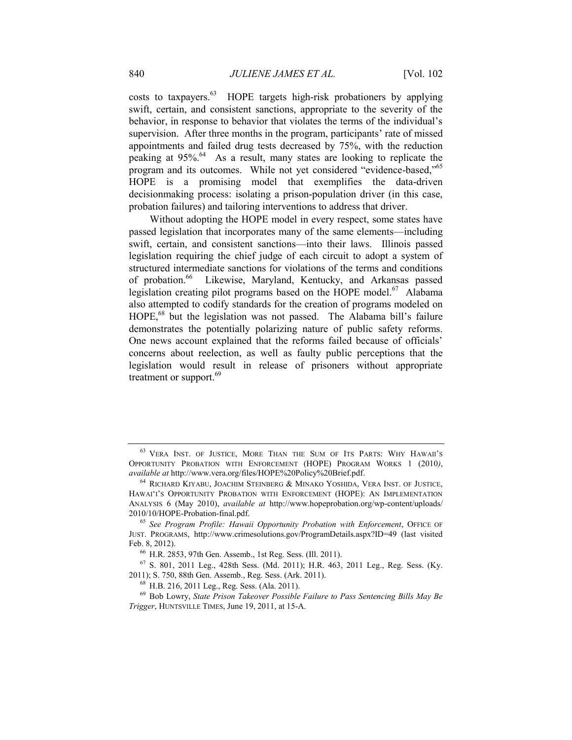costs to taxpayers.<sup>63</sup> HOPE targets high-risk probationers by applying swift, certain, and consistent sanctions, appropriate to the severity of the behavior, in response to behavior that violates the terms of the individual's supervision. After three months in the program, participants' rate of missed appointments and failed drug tests decreased by 75%, with the reduction peaking at 95%. <sup>64</sup> As a result, many states are looking to replicate the program and its outcomes. While not yet considered "evidence-based,"<sup>65</sup> HOPE is a promising model that exemplifies the data-driven decisionmaking process: isolating a prison-population driver (in this case, probation failures) and tailoring interventions to address that driver.

Without adopting the HOPE model in every respect, some states have passed legislation that incorporates many of the same elements—including swift, certain, and consistent sanctions—into their laws. Illinois passed legislation requiring the chief judge of each circuit to adopt a system of structured intermediate sanctions for violations of the terms and conditions of probation.<sup>66</sup> Likewise, Maryland, Kentucky, and Arkansas passed legislation creating pilot programs based on the HOPE model.<sup>67</sup> Alabama also attempted to codify standards for the creation of programs modeled on HOPE, <sup>68</sup> but the legislation was not passed. The Alabama bill's failure demonstrates the potentially polarizing nature of public safety reforms. One news account explained that the reforms failed because of officials' concerns about reelection, as well as faulty public perceptions that the legislation would result in release of prisoners without appropriate treatment or support.<sup>69</sup>

<sup>63</sup> VERA INST. OF JUSTICE, MORE THAN THE SUM OF ITS PARTS: WHY HAWAII'<sup>S</sup> OPPORTUNITY PROBATION WITH ENFORCEMENT (HOPE) PROGRAM WORKS 1 (2010*)*, *available at* http://www.vera.org/files/HOPE%20Policy%20Brief.pdf.

<sup>64</sup> RICHARD KIYABU, JOACHIM STEINBERG & MINAKO YOSHIDA, VERA INST. OF JUSTICE, HAWAI'I'S OPPORTUNITY PROBATION WITH ENFORCEMENT (HOPE): AN IMPLEMENTATION ANALYSIS 6 (May 2010), *available at* http://www.hopeprobation.org/wp-content/uploads/ 2010/10/HOPE-Probation-final.pdf.

<sup>65</sup> *See Program Profile: Hawaii Opportunity Probation with Enforcement*, OFFICE OF JUST. PROGRAMS, http://www.crimesolutions.gov/ProgramDetails.aspx?ID=49 (last visited Feb. 8, 2012).

<sup>66</sup> H.R. 2853, 97th Gen. Assemb., 1st Reg. Sess. (Ill. 2011).

<sup>67</sup> S. 801, 2011 Leg., 428th Sess. (Md. 2011); H.R. 463, 2011 Leg., Reg. Sess. (Ky. 2011); S. 750, 88th Gen. Assemb., Reg. Sess. (Ark. 2011).

<sup>68</sup> H.B. 216, 2011 Leg., Reg. Sess. (Ala. 2011).

<sup>69</sup> Bob Lowry, *State Prison Takeover Possible Failure to Pass Sentencing Bills May Be Trigger*, HUNTSVILLE TIMES, June 19, 2011, at 15-A.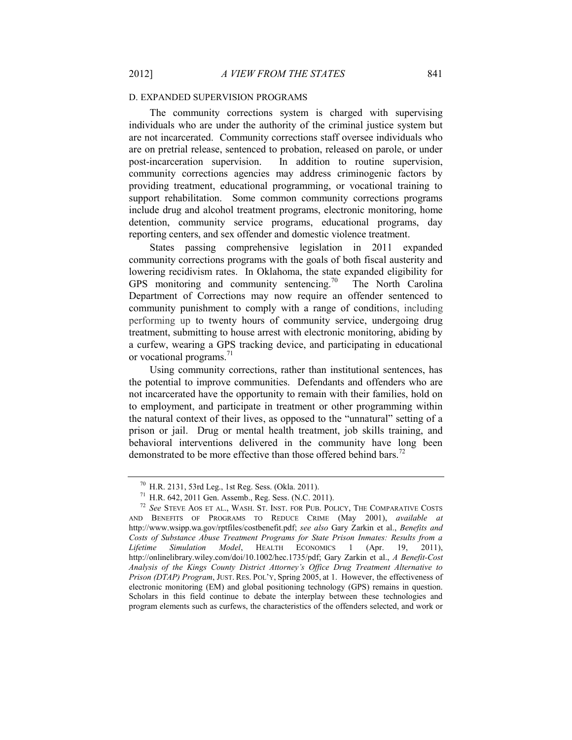#### D. EXPANDED SUPERVISION PROGRAMS

The community corrections system is charged with supervising individuals who are under the authority of the criminal justice system but are not incarcerated. Community corrections staff oversee individuals who are on pretrial release, sentenced to probation, released on parole, or under post-incarceration supervision. In addition to routine supervision, community corrections agencies may address criminogenic factors by providing treatment, educational programming, or vocational training to support rehabilitation. Some common community corrections programs include drug and alcohol treatment programs, electronic monitoring, home detention, community service programs, educational programs, day reporting centers, and sex offender and domestic violence treatment.

States passing comprehensive legislation in 2011 expanded community corrections programs with the goals of both fiscal austerity and lowering recidivism rates. In Oklahoma, the state expanded eligibility for GPS monitoring and community sentencing.<sup>70</sup> The North Carolina Department of Corrections may now require an offender sentenced to community punishment to comply with a range of conditions, including performing up to twenty hours of community service, undergoing drug treatment, submitting to house arrest with electronic monitoring, abiding by a curfew, wearing a GPS tracking device, and participating in educational or vocational programs. $^{71}$ 

Using community corrections, rather than institutional sentences, has the potential to improve communities. Defendants and offenders who are not incarcerated have the opportunity to remain with their families, hold on to employment, and participate in treatment or other programming within the natural context of their lives, as opposed to the "unnatural" setting of a prison or jail. Drug or mental health treatment, job skills training, and behavioral interventions delivered in the community have long been demonstrated to be more effective than those offered behind bars.<sup>72</sup>

<sup>70</sup> H.R. 2131, 53rd Leg., 1st Reg. Sess. (Okla. 2011).

<sup>71</sup> H.R. 642, 2011 Gen. Assemb., Reg. Sess. (N.C. 2011).

<sup>72</sup> *See* STEVE AOS ET AL., WASH. ST. INST. FOR PUB. POLICY, THE COMPARATIVE COSTS AND BENEFITS OF PROGRAMS TO REDUCE CRIME (May 2001), *available at* http://www.wsipp.wa.gov/rptfiles/costbenefit.pdf; *see also* Gary Zarkin et al., *Benefits and Costs of Substance Abuse Treatment Programs for State Prison Inmates: Results from a Lifetime Simulation Model*, HEALTH ECONOMICS 1 (Apr. 19, 2011), http://onlinelibrary.wiley.com/doi/10.1002/hec.1735/pdf; Gary Zarkin et al., *A Benefit-Cost Analysis of the Kings County District Attorney's Office Drug Treatment Alternative to Prison (DTAP) Program*, JUST. RES. POL'Y, Spring 2005, at 1. However, the effectiveness of electronic monitoring (EM) and global positioning technology (GPS) remains in question. Scholars in this field continue to debate the interplay between these technologies and program elements such as curfews, the characteristics of the offenders selected, and work or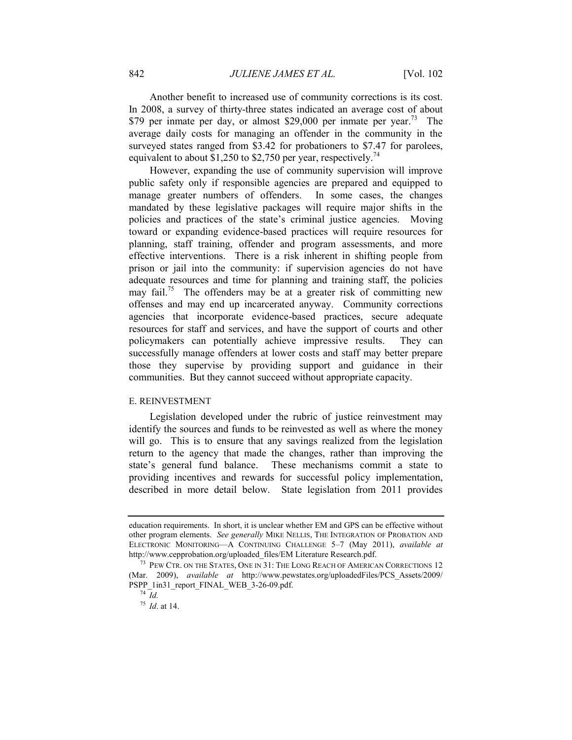Another benefit to increased use of community corrections is its cost. In 2008, a survey of thirty-three states indicated an average cost of about \$79 per inmate per day, or almost \$29,000 per inmate per year.<sup>73</sup> The average daily costs for managing an offender in the community in the surveyed states ranged from \$3.42 for probationers to \$7.47 for parolees, equivalent to about \$1,250 to \$2,750 per year, respectively.<sup>74</sup>

However, expanding the use of community supervision will improve public safety only if responsible agencies are prepared and equipped to manage greater numbers of offenders. In some cases, the changes mandated by these legislative packages will require major shifts in the policies and practices of the state's criminal justice agencies. Moving toward or expanding evidence-based practices will require resources for planning, staff training, offender and program assessments, and more effective interventions. There is a risk inherent in shifting people from prison or jail into the community: if supervision agencies do not have adequate resources and time for planning and training staff, the policies may fail.<sup>75</sup> The offenders may be at a greater risk of committing new offenses and may end up incarcerated anyway. Community corrections agencies that incorporate evidence-based practices, secure adequate resources for staff and services, and have the support of courts and other policymakers can potentially achieve impressive results. They can successfully manage offenders at lower costs and staff may better prepare those they supervise by providing support and guidance in their communities. But they cannot succeed without appropriate capacity.

## E. REINVESTMENT

Legislation developed under the rubric of justice reinvestment may identify the sources and funds to be reinvested as well as where the money will go. This is to ensure that any savings realized from the legislation return to the agency that made the changes, rather than improving the state's general fund balance. These mechanisms commit a state to providing incentives and rewards for successful policy implementation, described in more detail below. State legislation from 2011 provides

education requirements. In short, it is unclear whether EM and GPS can be effective without other program elements. *See generally* MIKE NELLIS, THE INTEGRATION OF PROBATION AND ELECTRONIC MONITORING—A CONTINUING CHALLENGE 5–7 (May 2011), *available at* http://www.cepprobation.org/uploaded\_files/EM Literature Research.pdf.

<sup>&</sup>lt;sup>73</sup> PEW CTR. ON THE STATES, ONE IN 31: THE LONG REACH OF AMERICAN CORRECTIONS 12 (Mar. 2009), *available at* http://www.pewstates.org/uploadedFiles/PCS\_Assets/2009/ PSPP\_1in31\_report\_FINAL\_WEB\_3-26-09.pdf.

<sup>74</sup> *Id.*

<sup>75</sup> *Id*. at 14.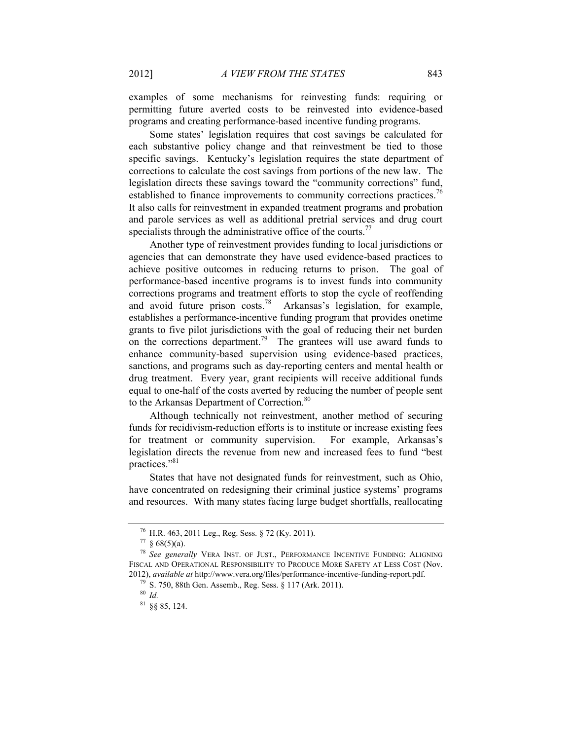examples of some mechanisms for reinvesting funds: requiring or permitting future averted costs to be reinvested into evidence-based programs and creating performance-based incentive funding programs.

Some states' legislation requires that cost savings be calculated for each substantive policy change and that reinvestment be tied to those specific savings. Kentucky's legislation requires the state department of corrections to calculate the cost savings from portions of the new law. The legislation directs these savings toward the "community corrections" fund, established to finance improvements to community corrections practices.<sup>76</sup> It also calls for reinvestment in expanded treatment programs and probation and parole services as well as additional pretrial services and drug court specialists through the administrative office of the courts.<sup>77</sup>

Another type of reinvestment provides funding to local jurisdictions or agencies that can demonstrate they have used evidence-based practices to achieve positive outcomes in reducing returns to prison. The goal of performance-based incentive programs is to invest funds into community corrections programs and treatment efforts to stop the cycle of reoffending and avoid future prison costs.<sup>78</sup> Arkansas's legislation, for example, establishes a performance-incentive funding program that provides onetime grants to five pilot jurisdictions with the goal of reducing their net burden on the corrections department.<sup>79</sup> The grantees will use award funds to enhance community-based supervision using evidence-based practices, sanctions, and programs such as day-reporting centers and mental health or drug treatment. Every year, grant recipients will receive additional funds equal to one-half of the costs averted by reducing the number of people sent to the Arkansas Department of Correction.<sup>80</sup>

Although technically not reinvestment, another method of securing funds for recidivism-reduction efforts is to institute or increase existing fees for treatment or community supervision. For example, Arkansas's legislation directs the revenue from new and increased fees to fund "best practices." 81

States that have not designated funds for reinvestment, such as Ohio, have concentrated on redesigning their criminal justice systems' programs and resources. With many states facing large budget shortfalls, reallocating

 $^{76}$  H.R. 463, 2011 Leg., Reg. Sess. § 72 (Ky. 2011).

 $77 \& 68(5)(a)$ .

<sup>78</sup> *See generally* VERA INST. OF JUST., PERFORMANCE INCENTIVE FUNDING: ALIGNING FISCAL AND OPERATIONAL RESPONSIBILITY TO PRODUCE MORE SAFETY AT LESS COST (Nov. 2012), *available at* http://www.vera.org/files/performance-incentive-funding-report.pdf.

<sup>79</sup> S. 750, 88th Gen. Assemb., Reg. Sess. § 117 (Ark. 2011).

<sup>80</sup> *Id.*

<sup>81</sup> §§ 85, 124.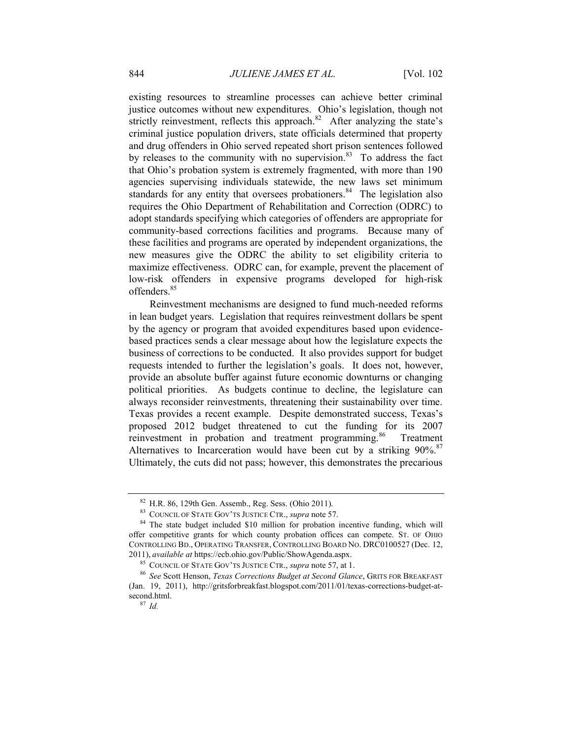existing resources to streamline processes can achieve better criminal justice outcomes without new expenditures. Ohio's legislation, though not strictly reinvestment, reflects this approach. $82$  After analyzing the state's criminal justice population drivers, state officials determined that property and drug offenders in Ohio served repeated short prison sentences followed by releases to the community with no supervision. $83$  To address the fact that Ohio's probation system is extremely fragmented, with more than 190 agencies supervising individuals statewide, the new laws set minimum standards for any entity that oversees probationers.<sup>84</sup> The legislation also requires the Ohio Department of Rehabilitation and Correction (ODRC) to adopt standards specifying which categories of offenders are appropriate for community-based corrections facilities and programs. Because many of these facilities and programs are operated by independent organizations, the new measures give the ODRC the ability to set eligibility criteria to maximize effectiveness. ODRC can, for example, prevent the placement of low-risk offenders in expensive programs developed for high-risk offenders.<sup>85</sup>

Reinvestment mechanisms are designed to fund much-needed reforms in lean budget years. Legislation that requires reinvestment dollars be spent by the agency or program that avoided expenditures based upon evidencebased practices sends a clear message about how the legislature expects the business of corrections to be conducted. It also provides support for budget requests intended to further the legislation's goals. It does not, however, provide an absolute buffer against future economic downturns or changing political priorities. As budgets continue to decline, the legislature can always reconsider reinvestments, threatening their sustainability over time. Texas provides a recent example. Despite demonstrated success, Texas's proposed 2012 budget threatened to cut the funding for its 2007 reinvestment in probation and treatment programming.<sup>86</sup> Treatment Alternatives to Incarceration would have been cut by a striking 90%.<sup>87</sup> Ultimately, the cuts did not pass; however, this demonstrates the precarious

<sup>82</sup> H.R. 86, 129th Gen. Assemb., Reg. Sess. (Ohio 2011).

<sup>83</sup> COUNCIL OF STATE GOV'TS JUSTICE CTR., *supra* note [57.](#page-18-0)

<sup>&</sup>lt;sup>84</sup> The state budget included \$10 million for probation incentive funding, which will offer competitive grants for which county probation offices can compete. ST. OF OHIO CONTROLLING BD., OPERATING TRANSFER, CONTROLLING BOARD NO. DRC0100527 (Dec. 12, 2011), *available at* https://ecb.ohio.gov/Public/ShowAgenda.aspx.

<sup>85</sup> COUNCIL OF STATE GOV'TS JUSTICE CTR., *supra* note [57,](#page-18-0) at 1.

<sup>86</sup> *See* Scott Henson, *Texas Corrections Budget at Second Glance*, GRITS FOR BREAKFAST (Jan. 19, 2011), http://gritsforbreakfast.blogspot.com/2011/01/texas-corrections-budget-atsecond.html.

<sup>87</sup> *Id.*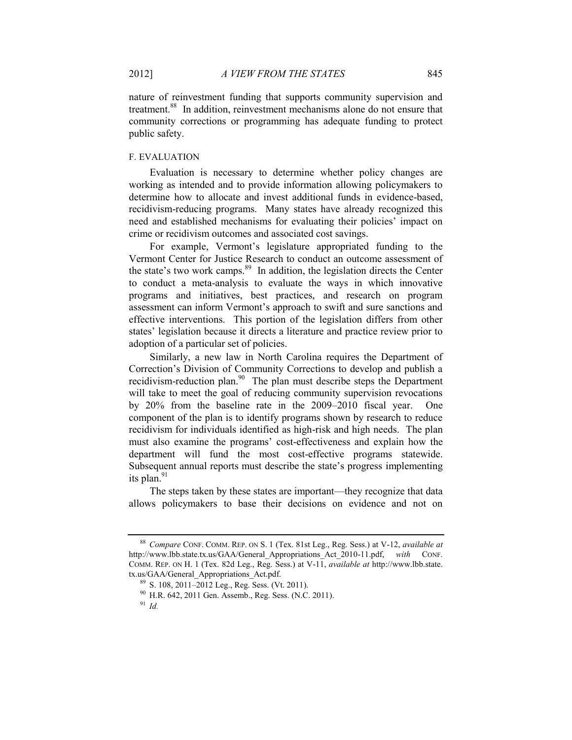nature of reinvestment funding that supports community supervision and treatment.<sup>88</sup> In addition, reinvestment mechanisms alone do not ensure that community corrections or programming has adequate funding to protect public safety.

## F. EVALUATION

Evaluation is necessary to determine whether policy changes are working as intended and to provide information allowing policymakers to determine how to allocate and invest additional funds in evidence-based, recidivism-reducing programs. Many states have already recognized this need and established mechanisms for evaluating their policies' impact on crime or recidivism outcomes and associated cost savings.

For example, Vermont's legislature appropriated funding to the Vermont Center for Justice Research to conduct an outcome assessment of the state's two work camps. $89$  In addition, the legislation directs the Center to conduct a meta-analysis to evaluate the ways in which innovative programs and initiatives, best practices, and research on program assessment can inform Vermont's approach to swift and sure sanctions and effective interventions. This portion of the legislation differs from other states' legislation because it directs a literature and practice review prior to adoption of a particular set of policies.

Similarly, a new law in North Carolina requires the Department of Correction's Division of Community Corrections to develop and publish a recidivism-reduction plan.<sup>90</sup> The plan must describe steps the Department will take to meet the goal of reducing community supervision revocations by 20% from the baseline rate in the 2009–2010 fiscal year. One component of the plan is to identify programs shown by research to reduce recidivism for individuals identified as high-risk and high needs. The plan must also examine the programs' cost-effectiveness and explain how the department will fund the most cost-effective programs statewide. Subsequent annual reports must describe the state's progress implementing its plan. $91$ 

The steps taken by these states are important—they recognize that data allows policymakers to base their decisions on evidence and not on

<sup>88</sup> *Compare* CONF. COMM. REP. ON S. 1 (Tex. 81st Leg., Reg. Sess.) at V-12, *available at*  http://www.lbb.state.tx.us/GAA/General\_Appropriations\_Act\_2010-11.pdf, *with* CONF. COMM. REP. ON H. 1 (Tex. 82d Leg., Reg. Sess.) at V-11, *available at* http://www.lbb.state. tx.us/GAA/General\_Appropriations\_Act.pdf.

<sup>89</sup> S. 108, 2011–2012 Leg., Reg. Sess. (Vt. 2011).

<sup>90</sup> H.R. 642, 2011 Gen. Assemb., Reg. Sess. (N.C. 2011).

<sup>91</sup> *Id.*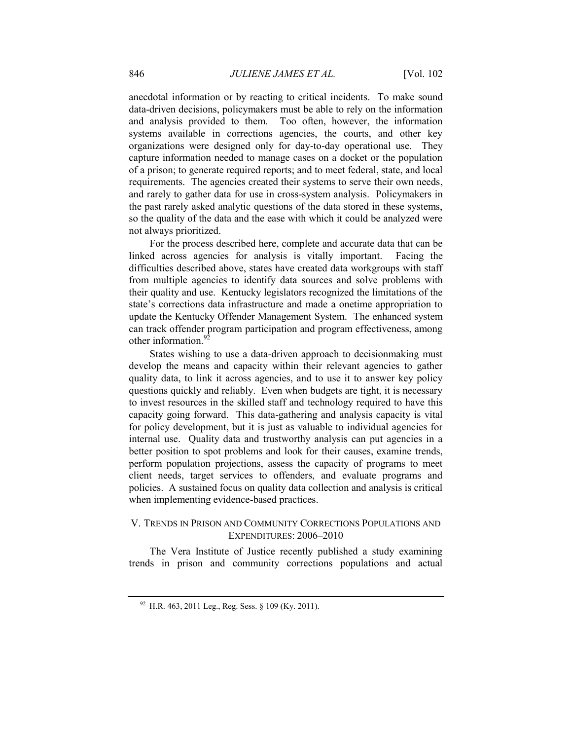anecdotal information or by reacting to critical incidents. To make sound data-driven decisions, policymakers must be able to rely on the information and analysis provided to them. Too often, however, the information systems available in corrections agencies, the courts, and other key organizations were designed only for day-to-day operational use. They capture information needed to manage cases on a docket or the population of a prison; to generate required reports; and to meet federal, state, and local requirements. The agencies created their systems to serve their own needs, and rarely to gather data for use in cross-system analysis. Policymakers in the past rarely asked analytic questions of the data stored in these systems, so the quality of the data and the ease with which it could be analyzed were not always prioritized.

For the process described here, complete and accurate data that can be linked across agencies for analysis is vitally important. Facing the difficulties described above, states have created data workgroups with staff from multiple agencies to identify data sources and solve problems with their quality and use. Kentucky legislators recognized the limitations of the state's corrections data infrastructure and made a onetime appropriation to update the Kentucky Offender Management System. The enhanced system can track offender program participation and program effectiveness, among other information.<sup>92</sup>

States wishing to use a data-driven approach to decisionmaking must develop the means and capacity within their relevant agencies to gather quality data, to link it across agencies, and to use it to answer key policy questions quickly and reliably. Even when budgets are tight, it is necessary to invest resources in the skilled staff and technology required to have this capacity going forward. This data-gathering and analysis capacity is vital for policy development, but it is just as valuable to individual agencies for internal use. Quality data and trustworthy analysis can put agencies in a better position to spot problems and look for their causes, examine trends, perform population projections, assess the capacity of programs to meet client needs, target services to offenders, and evaluate programs and policies. A sustained focus on quality data collection and analysis is critical when implementing evidence-based practices.

# <span id="page-26-0"></span>V. TRENDS IN PRISON AND COMMUNITY CORRECTIONS POPULATIONS AND EXPENDITURES: 2006–2010

The Vera Institute of Justice recently published a study examining trends in prison and community corrections populations and actual

 $92$  H.R. 463, 2011 Leg., Reg. Sess. § 109 (Ky. 2011).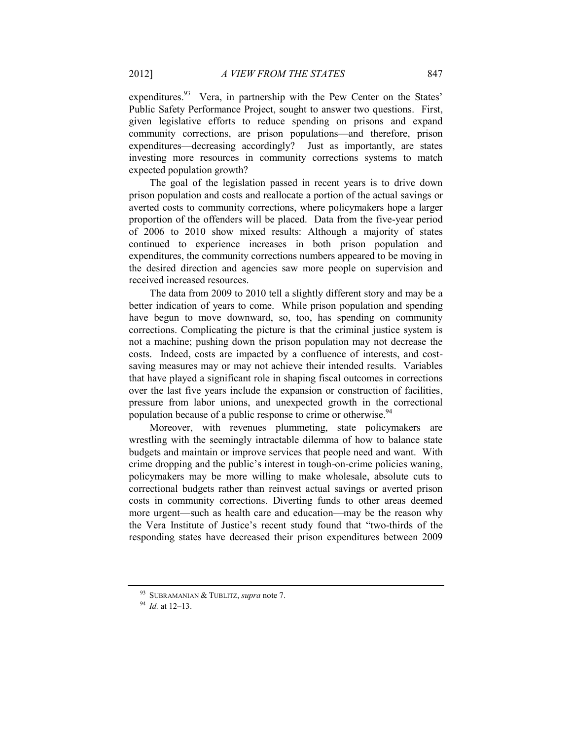expenditures.<sup>93</sup> Vera, in partnership with the Pew Center on the States' Public Safety Performance Project, sought to answer two questions. First, given legislative efforts to reduce spending on prisons and expand community corrections, are prison populations—and therefore, prison expenditures—decreasing accordingly? Just as importantly, are states investing more resources in community corrections systems to match expected population growth?

The goal of the legislation passed in recent years is to drive down prison population and costs and reallocate a portion of the actual savings or averted costs to community corrections, where policymakers hope a larger proportion of the offenders will be placed. Data from the five-year period of 2006 to 2010 show mixed results: Although a majority of states continued to experience increases in both prison population and expenditures, the community corrections numbers appeared to be moving in the desired direction and agencies saw more people on supervision and received increased resources.

The data from 2009 to 2010 tell a slightly different story and may be a better indication of years to come. While prison population and spending have begun to move downward, so, too, has spending on community corrections. Complicating the picture is that the criminal justice system is not a machine; pushing down the prison population may not decrease the costs. Indeed, costs are impacted by a confluence of interests, and costsaving measures may or may not achieve their intended results. Variables that have played a significant role in shaping fiscal outcomes in corrections over the last five years include the expansion or construction of facilities, pressure from labor unions, and unexpected growth in the correctional population because of a public response to crime or otherwise.<sup>94</sup>

Moreover, with revenues plummeting, state policymakers are wrestling with the seemingly intractable dilemma of how to balance state budgets and maintain or improve services that people need and want. With crime dropping and the public's interest in tough-on-crime policies waning, policymakers may be more willing to make wholesale, absolute cuts to correctional budgets rather than reinvest actual savings or averted prison costs in community corrections. Diverting funds to other areas deemed more urgent—such as health care and education—may be the reason why the Vera Institute of Justice's recent study found that "two-thirds of the responding states have decreased their prison expenditures between 2009

<sup>93</sup> SUBRAMANIAN & TUBLITZ, *supra* note [7.](#page-2-0)

<sup>94</sup> *Id.* at 12–13.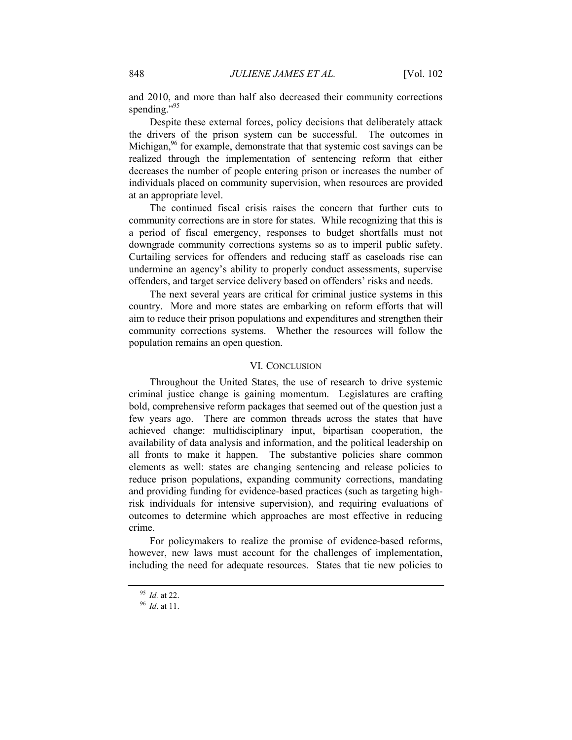and 2010, and more than half also decreased their community corrections spending."<sup>95</sup>

Despite these external forces, policy decisions that deliberately attack the drivers of the prison system can be successful. The outcomes in Michigan,<sup>96</sup> for example, demonstrate that that systemic cost savings can be realized through the implementation of sentencing reform that either decreases the number of people entering prison or increases the number of individuals placed on community supervision, when resources are provided at an appropriate level.

The continued fiscal crisis raises the concern that further cuts to community corrections are in store for states. While recognizing that this is a period of fiscal emergency, responses to budget shortfalls must not downgrade community corrections systems so as to imperil public safety. Curtailing services for offenders and reducing staff as caseloads rise can undermine an agency's ability to properly conduct assessments, supervise offenders, and target service delivery based on offenders' risks and needs.

The next several years are critical for criminal justice systems in this country. More and more states are embarking on reform efforts that will aim to reduce their prison populations and expenditures and strengthen their community corrections systems. Whether the resources will follow the population remains an open question.

# VI. CONCLUSION

<span id="page-28-0"></span>Throughout the United States, the use of research to drive systemic criminal justice change is gaining momentum. Legislatures are crafting bold, comprehensive reform packages that seemed out of the question just a few years ago. There are common threads across the states that have achieved change: multidisciplinary input, bipartisan cooperation, the availability of data analysis and information, and the political leadership on all fronts to make it happen. The substantive policies share common elements as well: states are changing sentencing and release policies to reduce prison populations, expanding community corrections, mandating and providing funding for evidence-based practices (such as targeting highrisk individuals for intensive supervision), and requiring evaluations of outcomes to determine which approaches are most effective in reducing crime.

For policymakers to realize the promise of evidence-based reforms, however, new laws must account for the challenges of implementation, including the need for adequate resources. States that tie new policies to

<sup>95</sup> *Id.* at 22.

<sup>96</sup> *Id*. at 11.